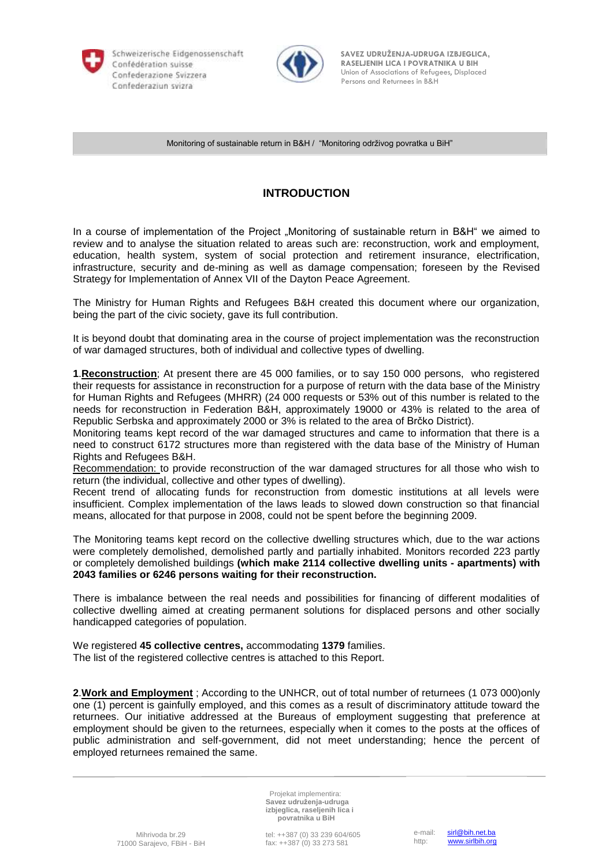

Schweizerische Eidgenossenschaft Persons and Returnees in B&H



 **SAVEZ UDRUŽENJA-UDRUGA IZBJEGLICA, RASELJENIH LICA I POVRATNIKA U BIH RASELJENIH LICA I POVRATNIKA U BIH** Confederazione Svizzera **by Confederazione Svizzera** Union of Associations of Refugees, Displaced

Monitoring of sustainable return in B&H / "Monitoring održivog povratka u BiH"

## **INTRODUCTION**

In a course of implementation of the Project "Monitoring of sustainable return in B&H" we aimed to review and to analyse the situation related to areas such are: reconstruction, work and employment, education, health system, system of social protection and retirement insurance, electrification, infrastructure, security and de-mining as well as damage compensation; foreseen by the Revised Strategy for Implementation of Annex VII of the Dayton Peace Agreement.

The Ministry for Human Rights and Refugees B&H created this document where our organization, being the part of the civic society, gave its full contribution.

It is beyond doubt that dominating area in the course of project implementation was the reconstruction of war damaged structures, both of individual and collective types of dwelling.

**1**.**Reconstruction**; At present there are 45 000 families, or to say 150 000 persons, who registered their requests for assistance in reconstruction for a purpose of return with the data base of the Ministry for Human Rights and Refugees (MHRR) (24 000 requests or 53% out of this number is related to the needs for reconstruction in Federation B&H, approximately 19000 or 43% is related to the area of Republic Serbska and approximately 2000 or 3% is related to the area of Brčko District).

Monitoring teams kept record of the war damaged structures and came to information that there is a need to construct 6172 structures more than registered with the data base of the Ministry of Human Rights and Refugees B&H.

Recommendation: to provide reconstruction of the war damaged structures for all those who wish to return (the individual, collective and other types of dwelling).

Recent trend of allocating funds for reconstruction from domestic institutions at all levels were insufficient. Complex implementation of the laws leads to slowed down construction so that financial means, allocated for that purpose in 2008, could not be spent before the beginning 2009.

The Monitoring teams kept record on the collective dwelling structures which, due to the war actions were completely demolished, demolished partly and partially inhabited. Monitors recorded 223 partly or completely demolished buildings **(which make 2114 collective dwelling units - apartments) with 2043 families or 6246 persons waiting for their reconstruction.** 

There is imbalance between the real needs and possibilities for financing of different modalities of collective dwelling aimed at creating permanent solutions for displaced persons and other socially handicapped categories of population.

We registered **45 collective centres,** accommodating **1379** families. The list of the registered collective centres is attached to this Report.

**2**.**Work and Employment** ; According to the UNHCR, out of total number of returnees (1 073 000)only one (1) percent is gainfully employed, and this comes as a result of discriminatory attitude toward the returnees. Our initiative addressed at the Bureaus of employment suggesting that preference at employment should be given to the returnees, especially when it comes to the posts at the offices of public administration and self-government, did not meet understanding; hence the percent of employed returnees remained the same.

> Projekat implementira: **Savez udruženja-udruga izbjeglica, raseljenih lica i povratnika u BiH**

tel: ++387 (0) 33 239 604/605 fax: ++387 (0) 33 273 581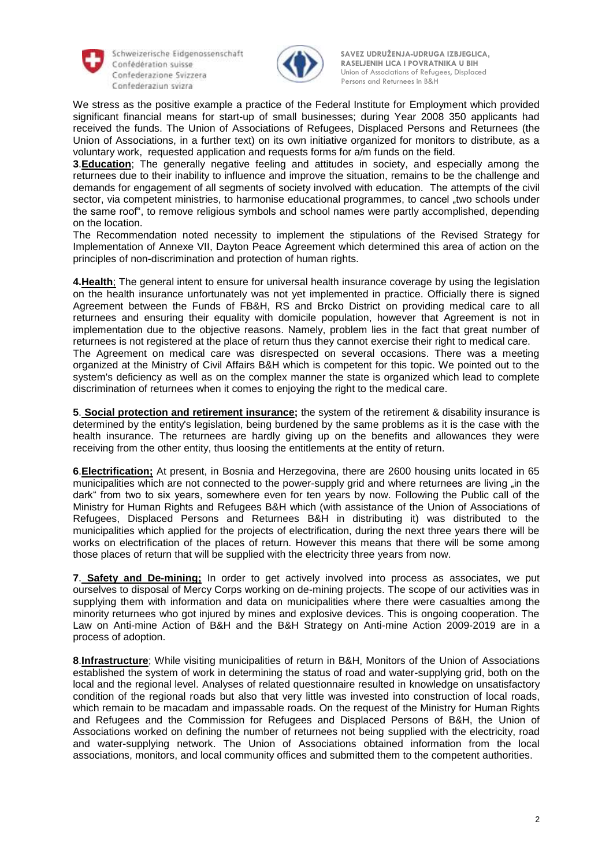

Schweizerische Eidgenossenschaft **Confederaziun svizra** Persons and Returnees in B&H



 **SAVEZ UDRUŽENJA-UDRUGA IZBJEGLICA, RASELJENIH LICA I POVRATNIKA U BIH RASELJENIH LICA I POVRATNIKA U BIH** Confederazione Svizzera **by Confederazione Svizzera** Union of Associations of Refugees, Displaced

We stress as the positive example a practice of the Federal Institute for Employment which provided significant financial means for start-up of small businesses; during Year 2008 350 applicants had received the funds. The Union of Associations of Refugees, Displaced Persons and Returnees (the Union of Associations, in a further text) on its own initiative organized for monitors to distribute, as a voluntary work, requested application and requests forms for a/m funds on the field.

**3**.**Education**; The generally negative feeling and attitudes in society, and especially among the returnees due to their inability to influence and improve the situation, remains to be the challenge and demands for engagement of all segments of society involved with education. The attempts of the civil sector, via competent ministries, to harmonise educational programmes, to cancel "two schools under the same roof", to remove religious symbols and school names were partly accomplished, depending on the location.

The Recommendation noted necessity to implement the stipulations of the Revised Strategy for Implementation of Annexe VII, Dayton Peace Agreement which determined this area of action on the principles of non-discrimination and protection of human rights.

**4.Health**; The general intent to ensure for universal health insurance coverage by using the legislation on the health insurance unfortunately was not yet implemented in practice. Officially there is signed Agreement between the Funds of FB&H, RS and Brcko District on providing medical care to all returnees and ensuring their equality with domicile population, however that Agreement is not in implementation due to the objective reasons. Namely, problem lies in the fact that great number of returnees is not registered at the place of return thus they cannot exercise their right to medical care. The Agreement on medical care was disrespected on several occasions. There was a meeting organized at the Ministry of Civil Affairs B&H which is competent for this topic. We pointed out to the system's deficiency as well as on the complex manner the state is organized which lead to complete discrimination of returnees when it comes to enjoying the right to the medical care.

**5**. **Social protection and retirement insurance;** the system of the retirement & disability insurance is determined by the entity's legislation, being burdened by the same problems as it is the case with the health insurance. The returnees are hardly giving up on the benefits and allowances they were receiving from the other entity, thus loosing the entitlements at the entity of return.

**6**.**Electrification;** At present, in Bosnia and Herzegovina, there are 2600 housing units located in 65 municipalities which are not connected to the power-supply grid and where returnees are living "in the dark" from two to six years, somewhere even for ten years by now. Following the Public call of the Ministry for Human Rights and Refugees B&H which (with assistance of the Union of Associations of Refugees, Displaced Persons and Returnees B&H in distributing it) was distributed to the municipalities which applied for the projects of electrification, during the next three years there will be works on electrification of the places of return. However this means that there will be some among those places of return that will be supplied with the electricity three years from now.

**7**. **Safety and De-mining;** In order to get actively involved into process as associates, we put ourselves to disposal of Mercy Corps working on de-mining projects. The scope of our activities was in supplying them with information and data on municipalities where there were casualties among the minority returnees who got injured by mines and explosive devices. This is ongoing cooperation. The Law on Anti-mine Action of B&H and the B&H Strategy on Anti-mine Action 2009-2019 are in a process of adoption.

**8**.**Infrastructure**; While visiting municipalities of return in B&H, Monitors of the Union of Associations established the system of work in determining the status of road and water-supplying grid, both on the local and the regional level. Analyses of related questionnaire resulted in knowledge on unsatisfactory condition of the regional roads but also that very little was invested into construction of local roads, which remain to be macadam and impassable roads. On the request of the Ministry for Human Rights and Refugees and the Commission for Refugees and Displaced Persons of B&H, the Union of Associations worked on defining the number of returnees not being supplied with the electricity, road and water-supplying network. The Union of Associations obtained information from the local associations, monitors, and local community offices and submitted them to the competent authorities.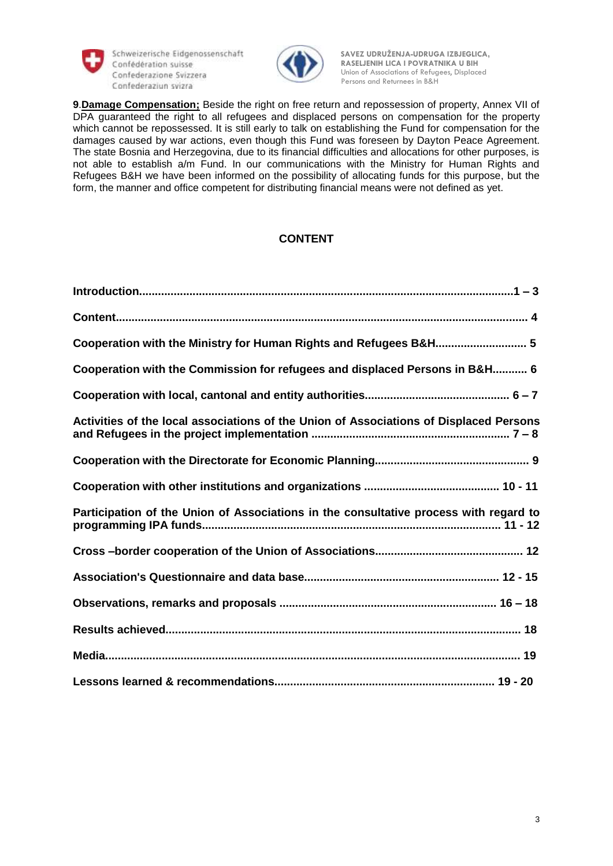

Schweizerische Eidgenossenschaft Confederaziun svizzera<br>Confederaziun svizza



 **SAVEZ UDRUŽENJA-UDRUGA IZBJEGLICA, RASELJENIH LICA I POVRATNIKA U BIH RASELJENIH LICA I POVRATNIKA U BIH Confederazione Svizzera 1989** Union of Associations of Refugees, Displaced

**9**.**Damage Compensation;** Beside the right on free return and repossession of property, Annex VII of DPA guaranteed the right to all refugees and displaced persons on compensation for the property which cannot be repossessed. It is still early to talk on establishing the Fund for compensation for the damages caused by war actions, even though this Fund was foreseen by Dayton Peace Agreement. The state Bosnia and Herzegovina, due to its financial difficulties and allocations for other purposes, is not able to establish a/m Fund. In our communications with the Ministry for Human Rights and Refugees B&H we have been informed on the possibility of allocating funds for this purpose, but the form, the manner and office competent for distributing financial means were not defined as yet.

## **CONTENT**

| Cooperation with the Ministry for Human Rights and Refugees B&H 5                      |
|----------------------------------------------------------------------------------------|
| Cooperation with the Commission for refugees and displaced Persons in B&H 6            |
|                                                                                        |
| Activities of the local associations of the Union of Associations of Displaced Persons |
|                                                                                        |
|                                                                                        |
| Participation of the Union of Associations in the consultative process with regard to  |
|                                                                                        |
|                                                                                        |
|                                                                                        |
|                                                                                        |
|                                                                                        |
|                                                                                        |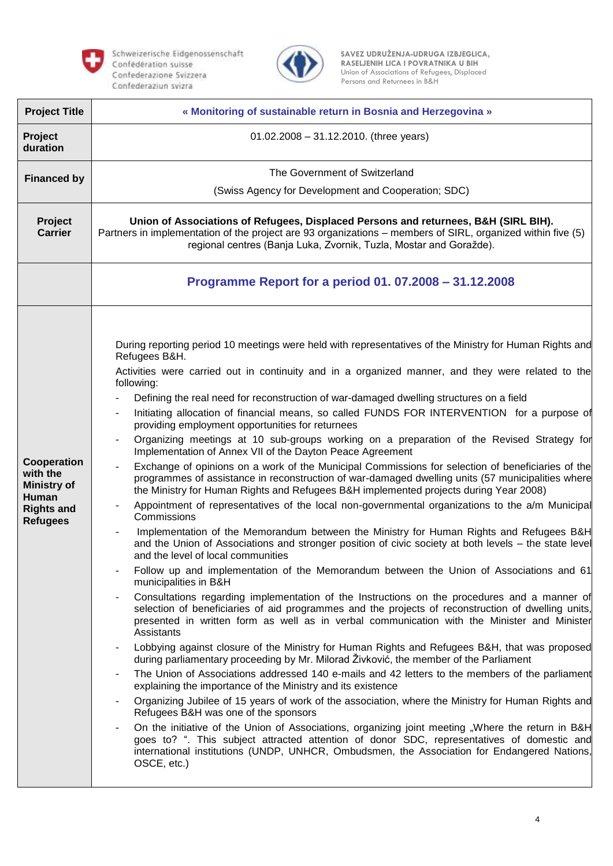



| <b>Project Title</b>                                                                           | « Monitoring of sustainable return in Bosnia and Herzegovina »                                                                                                                                                                                                                                                  |
|------------------------------------------------------------------------------------------------|-----------------------------------------------------------------------------------------------------------------------------------------------------------------------------------------------------------------------------------------------------------------------------------------------------------------|
| Project<br>duration                                                                            | $01.02.2008 - 31.12.2010$ . (three years)                                                                                                                                                                                                                                                                       |
| <b>Financed by</b>                                                                             | The Government of Switzerland                                                                                                                                                                                                                                                                                   |
|                                                                                                | (Swiss Agency for Development and Cooperation; SDC)                                                                                                                                                                                                                                                             |
| Project<br><b>Carrier</b>                                                                      | Union of Associations of Refugees, Displaced Persons and returnees, B&H (SIRL BIH).<br>Partners in implementation of the project are 93 organizations – members of SIRL, organized within five (5)<br>regional centres (Banja Luka, Zvornik, Tuzla, Mostar and Goražde).                                        |
|                                                                                                | Programme Report for a period 01. 07.2008 - 31.12.2008                                                                                                                                                                                                                                                          |
|                                                                                                |                                                                                                                                                                                                                                                                                                                 |
|                                                                                                | During reporting period 10 meetings were held with representatives of the Ministry for Human Rights and<br>Refugees B&H.                                                                                                                                                                                        |
|                                                                                                | Activities were carried out in continuity and in a organized manner, and they were related to the<br>following:                                                                                                                                                                                                 |
|                                                                                                | Defining the real need for reconstruction of war-damaged dwelling structures on a field                                                                                                                                                                                                                         |
|                                                                                                | Initiating allocation of financial means, so called FUNDS FOR INTERVENTION for a purpose of<br>providing employment opportunities for returnees                                                                                                                                                                 |
|                                                                                                | Organizing meetings at 10 sub-groups working on a preparation of the Revised Strategy for<br>Implementation of Annex VII of the Dayton Peace Agreement                                                                                                                                                          |
| Cooperation<br>with the<br><b>Ministry of</b><br>Human<br><b>Rights and</b><br><b>Refugees</b> | Exchange of opinions on a work of the Municipal Commissions for selection of beneficiaries of the<br>programmes of assistance in reconstruction of war-damaged dwelling units (57 municipalities where<br>the Ministry for Human Rights and Refugees B&H implemented projects during Year 2008)                 |
|                                                                                                | Appointment of representatives of the local non-governmental organizations to the a/m Municipal<br>Commissions                                                                                                                                                                                                  |
|                                                                                                | Implementation of the Memorandum between the Ministry for Human Rights and Refugees B&H<br>and the Union of Associations and stronger position of civic society at both levels - the state level<br>and the level of local communities                                                                          |
|                                                                                                | Follow up and implementation of the Memorandum between the Union of Associations and 61<br>municipalities in B&H                                                                                                                                                                                                |
|                                                                                                | Consultations regarding implementation of the Instructions on the procedures and a manner of<br>selection of beneficiaries of aid programmes and the projects of reconstruction of dwelling units,<br>presented in written form as well as in verbal communication with the Minister and Minister<br>Assistants |
|                                                                                                | Lobbying against closure of the Ministry for Human Rights and Refugees B&H, that was proposed<br>during parliamentary proceeding by Mr. Milorad Živković, the member of the Parliament                                                                                                                          |
|                                                                                                | The Union of Associations addressed 140 e-mails and 42 letters to the members of the parliament<br>explaining the importance of the Ministry and its existence                                                                                                                                                  |
|                                                                                                | Organizing Jubilee of 15 years of work of the association, where the Ministry for Human Rights and<br>Refugees B&H was one of the sponsors                                                                                                                                                                      |
|                                                                                                | On the initiative of the Union of Associations, organizing joint meeting "Where the return in B&H<br>goes to? ". This subject attracted attention of donor SDC, representatives of domestic and<br>international institutions (UNDP, UNHCR, Ombudsmen, the Association for Endangered Nations,<br>OSCE, etc.)   |
|                                                                                                |                                                                                                                                                                                                                                                                                                                 |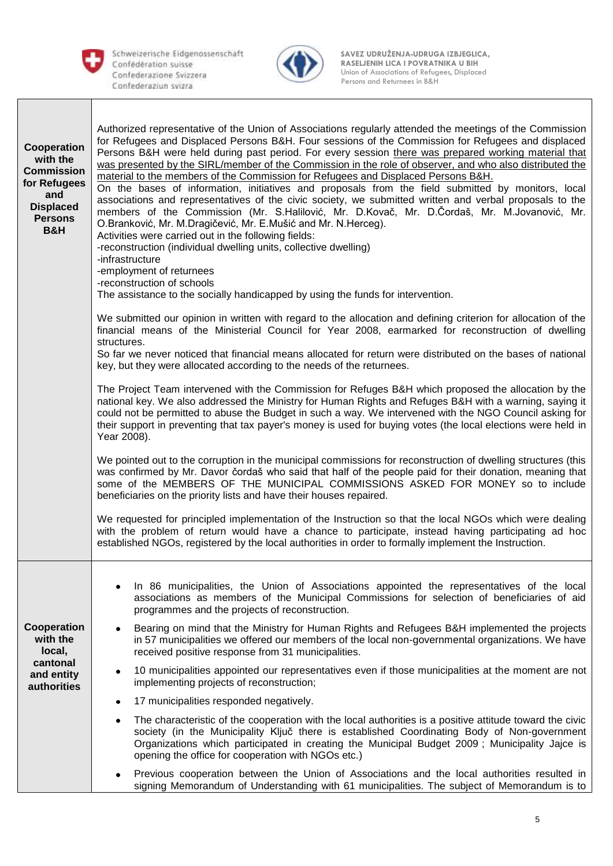



| Cooperation<br>with the<br><b>Commission</b><br>for Refugees<br>and<br><b>Displaced</b><br><b>Persons</b><br><b>B&amp;H</b> | Authorized representative of the Union of Associations regularly attended the meetings of the Commission<br>for Refugees and Displaced Persons B&H. Four sessions of the Commission for Refugees and displaced<br>Persons B&H were held during past period. For every session there was prepared working material that<br>was presented by the SIRL/member of the Commission in the role of observer, and who also distributed the<br>material to the members of the Commission for Refugees and Displaced Persons B&H.<br>On the bases of information, initiatives and proposals from the field submitted by monitors, local<br>associations and representatives of the civic society, we submitted written and verbal proposals to the<br>members of the Commission (Mr. S.Halilović, Mr. D.Kovač, Mr. D.Čordaš, Mr. M.Jovanović, Mr.<br>O.Branković, Mr. M.Dragičević, Mr. E.Mušić and Mr. N.Herceg).<br>Activities were carried out in the following fields:<br>-reconstruction (individual dwelling units, collective dwelling)<br>-infrastructure<br>-employment of returnees<br>-reconstruction of schools<br>The assistance to the socially handicapped by using the funds for intervention. |  |  |  |  |  |  |  |
|-----------------------------------------------------------------------------------------------------------------------------|------------------------------------------------------------------------------------------------------------------------------------------------------------------------------------------------------------------------------------------------------------------------------------------------------------------------------------------------------------------------------------------------------------------------------------------------------------------------------------------------------------------------------------------------------------------------------------------------------------------------------------------------------------------------------------------------------------------------------------------------------------------------------------------------------------------------------------------------------------------------------------------------------------------------------------------------------------------------------------------------------------------------------------------------------------------------------------------------------------------------------------------------------------------------------------------------------|--|--|--|--|--|--|--|
|                                                                                                                             | We submitted our opinion in written with regard to the allocation and defining criterion for allocation of the<br>financial means of the Ministerial Council for Year 2008, earmarked for reconstruction of dwelling<br>structures.                                                                                                                                                                                                                                                                                                                                                                                                                                                                                                                                                                                                                                                                                                                                                                                                                                                                                                                                                                  |  |  |  |  |  |  |  |
|                                                                                                                             | So far we never noticed that financial means allocated for return were distributed on the bases of national<br>key, but they were allocated according to the needs of the returnees.                                                                                                                                                                                                                                                                                                                                                                                                                                                                                                                                                                                                                                                                                                                                                                                                                                                                                                                                                                                                                 |  |  |  |  |  |  |  |
|                                                                                                                             | The Project Team intervened with the Commission for Refuges B&H which proposed the allocation by the<br>national key. We also addressed the Ministry for Human Rights and Refuges B&H with a warning, saying it<br>could not be permitted to abuse the Budget in such a way. We intervened with the NGO Council asking for<br>their support in preventing that tax payer's money is used for buying votes (the local elections were held in<br>Year 2008).                                                                                                                                                                                                                                                                                                                                                                                                                                                                                                                                                                                                                                                                                                                                           |  |  |  |  |  |  |  |
|                                                                                                                             | We pointed out to the corruption in the municipal commissions for reconstruction of dwelling structures (this<br>was confirmed by Mr. Davor čordaš who said that half of the people paid for their donation, meaning that<br>some of the MEMBERS OF THE MUNICIPAL COMMISSIONS ASKED FOR MONEY so to include<br>beneficiaries on the priority lists and have their houses repaired.                                                                                                                                                                                                                                                                                                                                                                                                                                                                                                                                                                                                                                                                                                                                                                                                                   |  |  |  |  |  |  |  |
|                                                                                                                             | We requested for principled implementation of the Instruction so that the local NGOs which were dealing<br>with the problem of return would have a chance to participate, instead having participating ad hoc<br>established NGOs, registered by the local authorities in order to formally implement the Instruction.                                                                                                                                                                                                                                                                                                                                                                                                                                                                                                                                                                                                                                                                                                                                                                                                                                                                               |  |  |  |  |  |  |  |
|                                                                                                                             | In 86 municipalities, the Union of Associations appointed the representatives of the local<br>associations as members of the Municipal Commissions for selection of beneficiaries of aid<br>programmes and the projects of reconstruction.                                                                                                                                                                                                                                                                                                                                                                                                                                                                                                                                                                                                                                                                                                                                                                                                                                                                                                                                                           |  |  |  |  |  |  |  |
| Cooperation<br>with the<br>local,                                                                                           | Bearing on mind that the Ministry for Human Rights and Refugees B&H implemented the projects<br>in 57 municipalities we offered our members of the local non-governmental organizations. We have<br>received positive response from 31 municipalities.                                                                                                                                                                                                                                                                                                                                                                                                                                                                                                                                                                                                                                                                                                                                                                                                                                                                                                                                               |  |  |  |  |  |  |  |
| cantonal<br>and entity<br><b>authorities</b>                                                                                | 10 municipalities appointed our representatives even if those municipalities at the moment are not<br>٠<br>implementing projects of reconstruction;                                                                                                                                                                                                                                                                                                                                                                                                                                                                                                                                                                                                                                                                                                                                                                                                                                                                                                                                                                                                                                                  |  |  |  |  |  |  |  |
|                                                                                                                             | 17 municipalities responded negatively.                                                                                                                                                                                                                                                                                                                                                                                                                                                                                                                                                                                                                                                                                                                                                                                                                                                                                                                                                                                                                                                                                                                                                              |  |  |  |  |  |  |  |
|                                                                                                                             | The characteristic of the cooperation with the local authorities is a positive attitude toward the civic<br>٠<br>society (in the Municipality Ključ there is established Coordinating Body of Non-government<br>Organizations which participated in creating the Municipal Budget 2009; Municipality Jajce is<br>opening the office for cooperation with NGOs etc.)                                                                                                                                                                                                                                                                                                                                                                                                                                                                                                                                                                                                                                                                                                                                                                                                                                  |  |  |  |  |  |  |  |
|                                                                                                                             | Previous cooperation between the Union of Associations and the local authorities resulted in<br>signing Memorandum of Understanding with 61 municipalities. The subject of Memorandum is to                                                                                                                                                                                                                                                                                                                                                                                                                                                                                                                                                                                                                                                                                                                                                                                                                                                                                                                                                                                                          |  |  |  |  |  |  |  |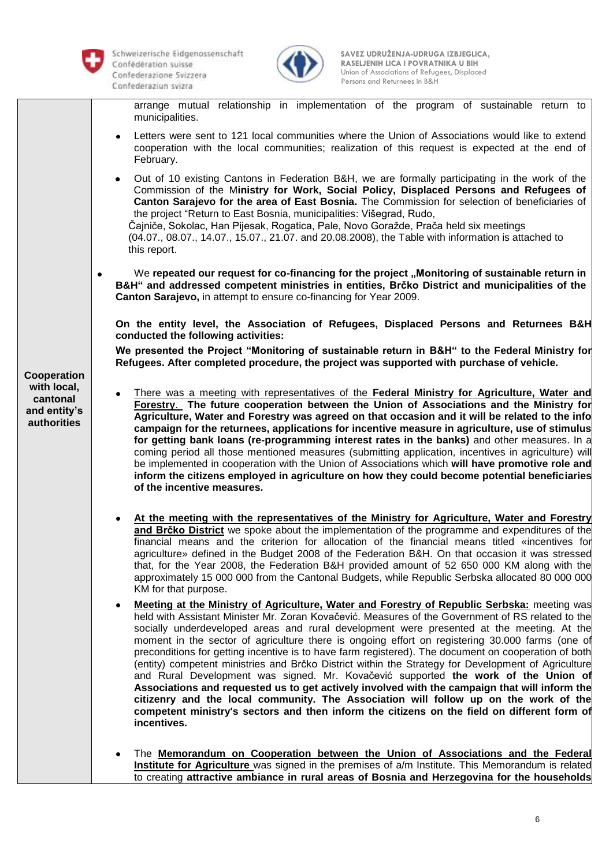

Schweizerische Eidgenossenschaft Persons and Returnees in B&H<br>Confederaziun svizra



 **SAVEZ UDRUŽENJA-UDRUGA IZBJEGLICA, RASELJENIH LICA I POVRATNIKA U BIH RASELJENIH LICA I POVRATNIKA U BIH** Confederazione Svizzera **by Confederazione Svizzera** Union of Associations of Refugees, Displaced

arrange mutual relationship in implementation of the program of sustainable return to municipalities.

- Letters were sent to 121 local communities where the Union of Associations would like to extend cooperation with the local communities; realization of this request is expected at the end of February.
- Out of 10 existing Cantons in Federation B&H, we are formally participating in the work of the Commission of the M**inistry for Work, Social Policy, Displaced Persons and Refugees of Canton Sarajevo for the area of East Bosnia.** The Commission for selection of beneficiaries of the project "Return to East Bosnia, municipalities: Višegrad, Rudo, Čajniče, Sokolac, Han Pijesak, Rogatica, Pale, Novo Goražde, Prača held six meetings (04.07., 08.07., 14.07., 15.07., 21.07. and 20.08.2008), the Table with information is attached to this report.

We repeated our request for co-financing for the project "Monitoring of sustainable return in **B&H" and addressed competent ministries in entities, Brčko District and municipalities of the Canton Sarajevo,** in attempt to ensure co-financing for Year 2009.

**On the entity level, the Association of Refugees, Displaced Persons and Returnees B&H conducted the following activities:**

**We presented the Project "Monitoring of sustainable return in B&H" to the Federal Ministry for Refugees. After completed procedure, the project was supported with purchase of vehicle.** 

- There was a meeting with representatives of the **Federal Ministry for Agriculture, Water and Forestry**. **The future cooperation between the Union of Associations and the Ministry for Agriculture, Water and Forestry was agreed on that occasion and it will be related to the info campaign for the returnees, applications for incentive measure in agriculture, use of stimulus for getting bank loans (re-programming interest rates in the banks)** and other measures. In a coming period all those mentioned measures (submitting application, incentives in agriculture) will be implemented in cooperation with the Union of Associations which **will have promotive role and inform the citizens employed in agriculture on how they could become potential beneficiaries of the incentive measures.** 
	- **At the meeting with the representatives of the Ministry for Agriculture, Water and Forestry and Brčko District** we spoke about the implementation of the programme and expenditures of the financial means and the criterion for allocation of the financial means titled «incentives for agriculture» defined in the Budget 2008 of the Federation B&H. On that occasion it was stressed that, for the Year 2008, the Federation B&H provided amount of 52 650 000 KM along with the approximately 15 000 000 from the Cantonal Budgets, while Republic Serbska allocated 80 000 000 KM for that purpose.
	- **Meeting at the Ministry of Agriculture, Water and Forestry of Republic Serbska:** meeting was held with Assistant Minister Mr. Zoran Kovačević. Measures of the Government of RS related to the socially underdeveloped areas and rural development were presented at the meeting. At the moment in the sector of agriculture there is ongoing effort on registering 30.000 farms (one of preconditions for getting incentive is to have farm registered). The document on cooperation of both (entity) competent ministries and Brčko District within the Strategy for Development of Agriculture and Rural Development was signed. Mr. Kovačević supported **the work of the Union of Associations and requested us to get actively involved with the campaign that will inform the citizenry and the local community. The Association will follow up on the work of the competent ministry's sectors and then inform the citizens on the field on different form of incentives.**
	- The **Memorandum on Cooperation between the Union of Associations and the Federal Institute for Agriculture** was signed in the premises of a/m Institute. This Memorandum is related to creating **attractive ambiance in rural areas of Bosnia and Herzegovina for the households**

## **Cooperation with local, cantonal and entity's authorities**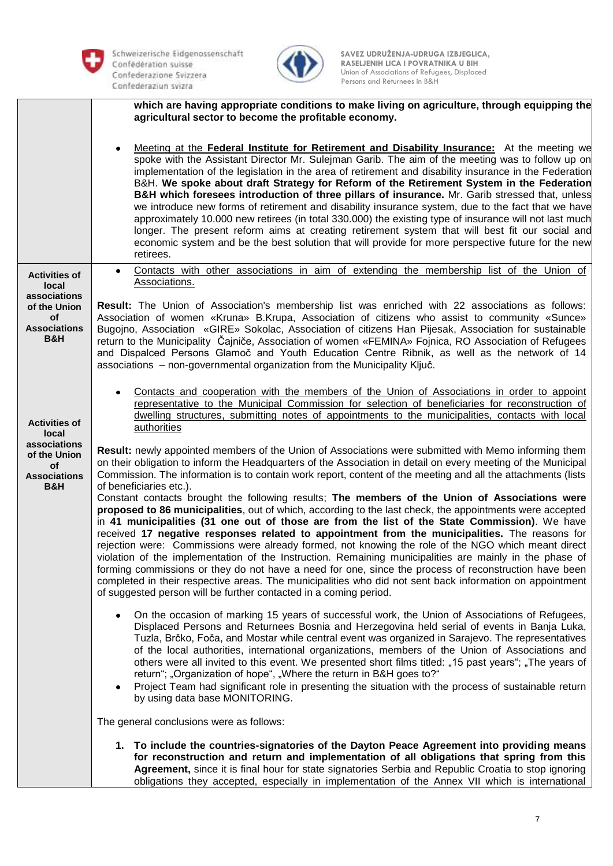



|                                                                             | which are having appropriate conditions to make living on agriculture, through equipping the<br>agricultural sector to become the profitable economy.                                                                                                                                                                                                                                                                                                                                                                                                                                                                                                                                                                                                                                                                                                                                                                                              |
|-----------------------------------------------------------------------------|----------------------------------------------------------------------------------------------------------------------------------------------------------------------------------------------------------------------------------------------------------------------------------------------------------------------------------------------------------------------------------------------------------------------------------------------------------------------------------------------------------------------------------------------------------------------------------------------------------------------------------------------------------------------------------------------------------------------------------------------------------------------------------------------------------------------------------------------------------------------------------------------------------------------------------------------------|
|                                                                             | Meeting at the Federal Institute for Retirement and Disability Insurance: At the meeting we<br>٠<br>spoke with the Assistant Director Mr. Sulejman Garib. The aim of the meeting was to follow up on<br>implementation of the legislation in the area of retirement and disability insurance in the Federation<br>B&H. We spoke about draft Strategy for Reform of the Retirement System in the Federation<br>B&H which foresees introduction of three pillars of insurance. Mr. Garib stressed that, unless<br>we introduce new forms of retirement and disability insurance system, due to the fact that we have<br>approximately 10.000 new retirees (in total 330.000) the existing type of insurance will not last much<br>longer. The present reform aims at creating retirement system that will best fit our social and<br>economic system and be the best solution that will provide for more perspective future for the new<br>retirees. |
| <b>Activities of</b><br>local                                               | Contacts with other associations in aim of extending the membership list of the Union of<br>$\bullet$<br>Associations.                                                                                                                                                                                                                                                                                                                                                                                                                                                                                                                                                                                                                                                                                                                                                                                                                             |
| associations<br>of the Union<br>of<br><b>Associations</b><br><b>B&amp;H</b> | Result: The Union of Association's membership list was enriched with 22 associations as follows:<br>Association of women «Kruna» B.Krupa, Association of citizens who assist to community «Sunce»<br>Bugojno, Association «GIRE» Sokolac, Association of citizens Han Pijesak, Association for sustainable<br>return to the Municipality Cajnice, Association of women «FEMINA» Fojnica, RO Association of Refugees<br>and Dispalced Persons Glamoč and Youth Education Centre Ribnik, as well as the network of 14<br>associations - non-governmental organization from the Municipality Ključ.                                                                                                                                                                                                                                                                                                                                                   |
| <b>Activities of</b><br>local                                               | Contacts and cooperation with the members of the Union of Associations in order to appoint<br>representative to the Municipal Commission for selection of beneficiaries for reconstruction of<br>dwelling structures, submitting notes of appointments to the municipalities, contacts with local<br>authorities                                                                                                                                                                                                                                                                                                                                                                                                                                                                                                                                                                                                                                   |
| associations<br>of the Union<br>οf<br><b>Associations</b><br>B&H            | Result: newly appointed members of the Union of Associations were submitted with Memo informing them<br>on their obligation to inform the Headquarters of the Association in detail on every meeting of the Municipal<br>Commission. The information is to contain work report, content of the meeting and all the attachments (lists<br>of beneficiaries etc.).                                                                                                                                                                                                                                                                                                                                                                                                                                                                                                                                                                                   |
|                                                                             | Constant contacts brought the following results; The members of the Union of Associations were<br>proposed to 86 municipalities, out of which, according to the last check, the appointments were accepted<br>in 41 municipalities (31 one out of those are from the list of the State Commission). We have<br>received 17 negative responses related to appointment from the municipalities. The reasons for<br>rejection were: Commissions were already formed, not knowing the role of the NGO which meant direct<br>violation of the implementation of the Instruction. Remaining municipalities are mainly in the phase of<br>forming commissions or they do not have a need for one, since the process of reconstruction have been<br>completed in their respective areas. The municipalities who did not sent back information on appointment<br>of suggested person will be further contacted in a coming period.                          |
|                                                                             | On the occasion of marking 15 years of successful work, the Union of Associations of Refugees,<br>٠<br>Displaced Persons and Returnees Bosnia and Herzegovina held serial of events in Banja Luka,<br>Tuzla, Brčko, Foča, and Mostar while central event was organized in Sarajevo. The representatives<br>of the local authorities, international organizations, members of the Union of Associations and<br>others were all invited to this event. We presented short films titled: "15 past years"; "The years of<br>return"; "Organization of hope", "Where the return in B&H goes to?"<br>Project Team had significant role in presenting the situation with the process of sustainable return<br>٠<br>by using data base MONITORING.                                                                                                                                                                                                         |
|                                                                             | The general conclusions were as follows:                                                                                                                                                                                                                                                                                                                                                                                                                                                                                                                                                                                                                                                                                                                                                                                                                                                                                                           |
|                                                                             | 1. To include the countries-signatories of the Dayton Peace Agreement into providing means<br>for reconstruction and return and implementation of all obligations that spring from this<br>Agreement, since it is final hour for state signatories Serbia and Republic Croatia to stop ignoring<br>obligations they accepted, especially in implementation of the Annex VII which is international                                                                                                                                                                                                                                                                                                                                                                                                                                                                                                                                                 |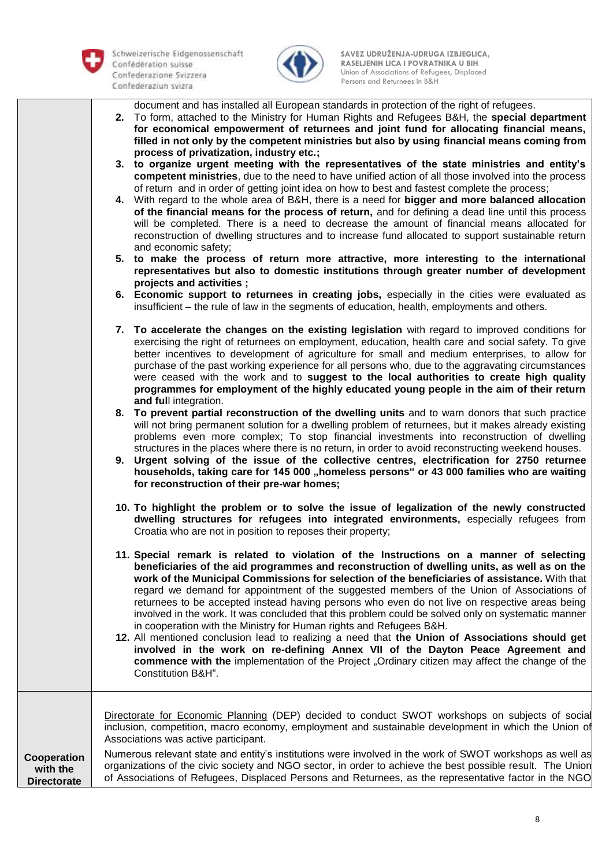

**Directorate** 

Schweizerische Eidgenossenschaft Persons and Returnees in B&H<br>Confederaziun svizra



 **SAVEZ UDRUŽENJA-UDRUGA IZBJEGLICA, RASELJENIH LICA I POVRATNIKA U BIH RASELJENIH LICA I POVRATNIKA U BIH** Confederazione Svizzera **by Confederazione Svizzera** Union of Associations of Refugees, Displaced

document and has installed all European standards in protection of the right of refugees.

- **2.** To form, attached to the Ministry for Human Rights and Refugees B&H, the **special department for economical empowerment of returnees and joint fund for allocating financial means, filled in not only by the competent ministries but also by using financial means coming from process of privatization, industry etc.;**
- **3. to organize urgent meeting with the representatives of the state ministries and entity's competent ministries**, due to the need to have unified action of all those involved into the process of return and in order of getting joint idea on how to best and fastest complete the process;
- **4.** With regard to the whole area of B&H, there is a need for **bigger and more balanced allocation of the financial means for the process of return,** and for defining a dead line until this process will be completed. There is a need to decrease the amount of financial means allocated for reconstruction of dwelling structures and to increase fund allocated to support sustainable return and economic safety;
- **5. to make the process of return more attractive, more interesting to the international representatives but also to domestic institutions through greater number of development projects and activities ;**
- **6. Economic support to returnees in creating jobs,** especially in the cities were evaluated as insufficient – the rule of law in the segments of education, health, employments and others.
- **7. To accelerate the changes on the existing legislation** with regard to improved conditions for exercising the right of returnees on employment, education, health care and social safety. To give better incentives to development of agriculture for small and medium enterprises, to allow for purchase of the past working experience for all persons who, due to the aggravating circumstances were ceased with the work and to **suggest to the local authorities to create high quality programmes for employment of the highly educated young people in the aim of their return and ful**l integration.
- **8. To prevent partial reconstruction of the dwelling units** and to warn donors that such practice will not bring permanent solution for a dwelling problem of returnees, but it makes already existing problems even more complex; To stop financial investments into reconstruction of dwelling structures in the places where there is no return, in order to avoid reconstructing weekend houses.
- **9. Urgent solving of the issue of the collective centres, electrification for 2750 returnee**  households, taking care for 145 000 "homeless persons" or 43 000 families who are waiting **for reconstruction of their pre-war homes;**
- **10. To highlight the problem or to solve the issue of legalization of the newly constructed dwelling structures for refugees into integrated environments,** especially refugees from Croatia who are not in position to reposes their property;
- **11. Special remark is related to violation of the Instructions on a manner of selecting beneficiaries of the aid programmes and reconstruction of dwelling units, as well as on the work of the Municipal Commissions for selection of the beneficiaries of assistance.** With that regard we demand for appointment of the suggested members of the Union of Associations of returnees to be accepted instead having persons who even do not live on respective areas being involved in the work. It was concluded that this problem could be solved only on systematic manner in cooperation with the Ministry for Human rights and Refugees B&H.
- **12.** All mentioned conclusion lead to realizing a need that **the Union of Associations should get involved in the work on re-defining Annex VII of the Dayton Peace Agreement and commence with the** implementation of the Project "Ordinary citizen may affect the change of the Constitution B&H".

**Cooperation with the**  Directorate for Economic Planning (DEP) decided to conduct SWOT workshops on subjects of social inclusion, competition, macro economy, employment and sustainable development in which the Union of Associations was active participant. Numerous relevant state and entity's institutions were involved in the work of SWOT workshops as well as organizations of the civic society and NGO sector, in order to achieve the best possible result. The Union of Associations of Refugees, Displaced Persons and Returnees, as the representative factor in the NGO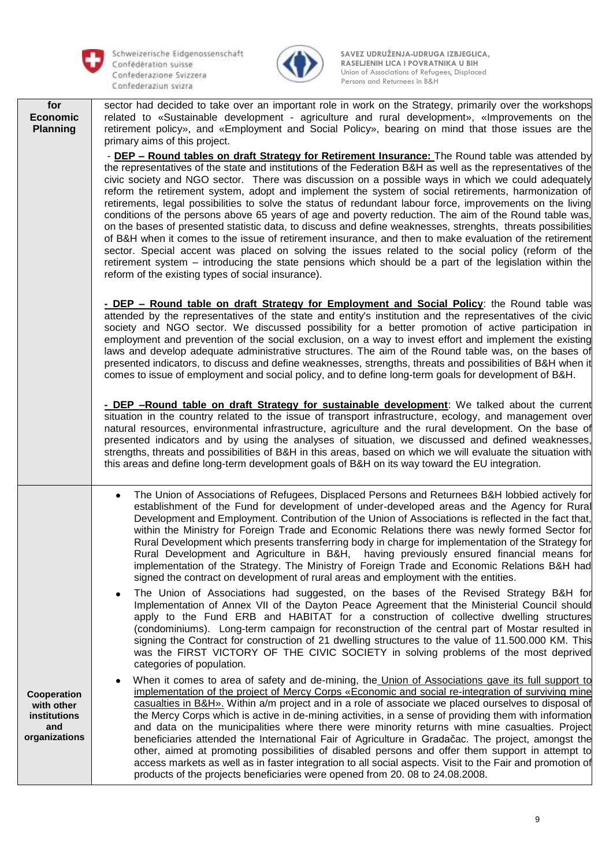

Schweizerische Eidgenossenschaft Persons and Returnees in B&H



 **SAVEZ UDRUŽENJA-UDRUGA IZBJEGLICA, RASELJENIH LICA I POVRATNIKA U BIH RASELJENIH LICA I POVRATNIKA U BIH Confederazione Svizzera 1989** Confederazione Svizzera **1989** Confederazione Svizzera **1989** Confederazione Svizzera **1989** 

| for<br><b>Economic</b><br><b>Planning</b> | sector had decided to take over an important role in work on the Strategy, primarily over the workshops<br>related to «Sustainable development - agriculture and rural development», «Improvements on the<br>retirement policy», and «Employment and Social Policy», bearing on mind that those issues are the<br>primary aims of this project.                                                                                                                                                                                                                                                                                                                                                                                                                                                                                                                                                                                                                                                                                                                                                                                                                                                            |
|-------------------------------------------|------------------------------------------------------------------------------------------------------------------------------------------------------------------------------------------------------------------------------------------------------------------------------------------------------------------------------------------------------------------------------------------------------------------------------------------------------------------------------------------------------------------------------------------------------------------------------------------------------------------------------------------------------------------------------------------------------------------------------------------------------------------------------------------------------------------------------------------------------------------------------------------------------------------------------------------------------------------------------------------------------------------------------------------------------------------------------------------------------------------------------------------------------------------------------------------------------------|
|                                           | - DEP - Round tables on draft Strategy for Retirement Insurance: The Round table was attended by<br>the representatives of the state and institutions of the Federation B&H as well as the representatives of the<br>civic society and NGO sector. There was discussion on a possible ways in which we could adequately<br>reform the retirement system, adopt and implement the system of social retirements, harmonization of<br>retirements, legal possibilities to solve the status of redundant labour force, improvements on the living<br>conditions of the persons above 65 years of age and poverty reduction. The aim of the Round table was,<br>on the bases of presented statistic data, to discuss and define weaknesses, strenghts, threats possibilities<br>of B&H when it comes to the issue of retirement insurance, and then to make evaluation of the retirement<br>sector. Special accent was placed on solving the issues related to the social policy (reform of the<br>retirement system – introducing the state pensions which should be a part of the legislation within the<br>reform of the existing types of social insurance).                                                |
|                                           | - DEP – Round table on draft Strategy for Employment and Social Policy: the Round table was<br>attended by the representatives of the state and entity's institution and the representatives of the civic<br>society and NGO sector. We discussed possibility for a better promotion of active participation in<br>employment and prevention of the social exclusion, on a way to invest effort and implement the existing<br>laws and develop adequate administrative structures. The aim of the Round table was, on the bases of<br>presented indicators, to discuss and define weaknesses, strengths, threats and possibilities of B&H when it<br>comes to issue of employment and social policy, and to define long-term goals for development of B&H.                                                                                                                                                                                                                                                                                                                                                                                                                                                 |
|                                           | - DEP -Round table on draft Strategy for sustainable development: We talked about the current<br>situation in the country related to the issue of transport infrastructure, ecology, and management over<br>natural resources, environmental infrastructure, agriculture and the rural development. On the base of<br>presented indicators and by using the analyses of situation, we discussed and defined weaknesses,<br>strengths, threats and possibilities of B&H in this areas, based on which we will evaluate the situation with<br>this areas and define long-term development goals of B&H on its way toward the EU integration.                                                                                                                                                                                                                                                                                                                                                                                                                                                                                                                                                                 |
|                                           | The Union of Associations of Refugees, Displaced Persons and Returnees B&H lobbied actively for<br>٠<br>establishment of the Fund for development of under-developed areas and the Agency for Rural<br>Development and Employment. Contribution of the Union of Associations is reflected in the fact that,<br>within the Ministry for Foreign Trade and Economic Relations there was newly formed Sector for<br>Rural Development which presents transferring body in charge for implementation of the Strategy for<br>Rural Development and Agriculture in B&H, having previously ensured financial means for<br>implementation of the Strategy. The Ministry of Foreign Trade and Economic Relations B&H had<br>signed the contract on development of rural areas and employment with the entities.<br>The Union of Associations had suggested, on the bases of the Revised Strategy B&H for<br>$\bullet$<br>Implementation of Annex VII of the Dayton Peace Agreement that the Ministerial Council should<br>apply to the Fund ERB and HABITAT for a construction of collective dwelling structures<br>(condominiums). Long-term campaign for reconstruction of the central part of Mostar resulted in |
| Cooperation<br>with other<br>institutions | signing the Contract for construction of 21 dwelling structures to the value of 11.500.000 KM. This<br>was the FIRST VICTORY OF THE CIVIC SOCIETY in solving problems of the most deprived<br>categories of population.<br>When it comes to area of safety and de-mining, the Union of Associations gave its full support to<br>٠<br>implementation of the project of Mercy Corps «Economic and social re-integration of surviving mine<br>casualties in $B\&H$ ». Within a/m project and in a role of associate we placed ourselves to disposal of<br>the Mercy Corps which is active in de-mining activities, in a sense of providing them with information                                                                                                                                                                                                                                                                                                                                                                                                                                                                                                                                              |
| and<br>organizations                      | and data on the municipalities where there were minority returns with mine casualties. Project<br>beneficiaries attended the International Fair of Agriculture in Gradačac. The project, amongst the<br>other, aimed at promoting possibilities of disabled persons and offer them support in attempt to<br>access markets as well as in faster integration to all social aspects. Visit to the Fair and promotion of<br>products of the projects beneficiaries were opened from 20.08 to 24.08.2008.                                                                                                                                                                                                                                                                                                                                                                                                                                                                                                                                                                                                                                                                                                      |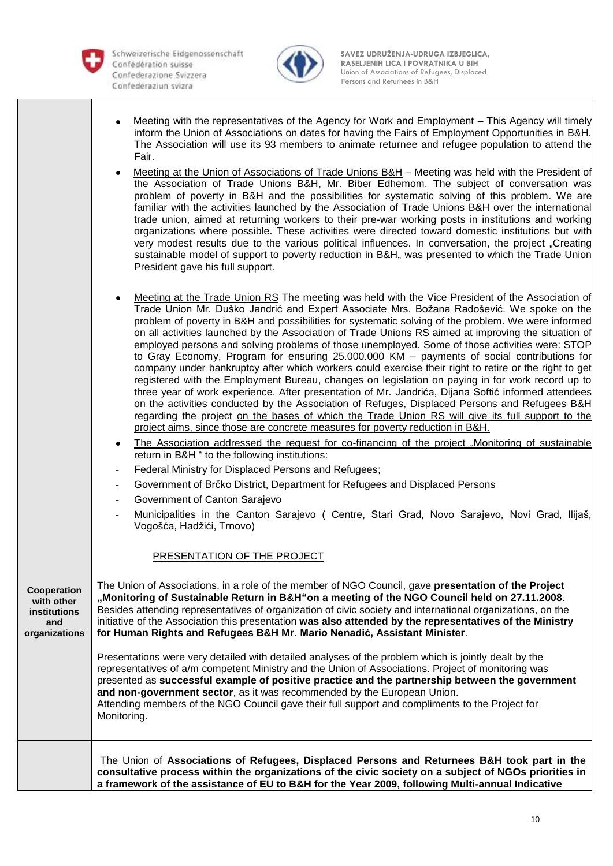

Schweizerische Eidgenossenschaft Persons and Returnees in B&H



 **SAVEZ UDRUŽENJA-UDRUGA IZBJEGLICA, RASELJENIH LICA I POVRATNIKA U BIH RASELJENIH LICA I POVRATNIKA U BIH** Confederazione Svizzera **by Confederazione Svizzera** Union of Associations of Refugees, Displaced

- Meeting with the representatives of the Agency for Work and Employment This Agency will timely inform the Union of Associations on dates for having the Fairs of Employment Opportunities in B&H. The Association will use its 93 members to animate returnee and refugee population to attend the Fair.
- Meeting at the Union of Associations of Trade Unions B&H Meeting was held with the President of the Association of Trade Unions B&H, Mr. Biber Edhemom. The subject of conversation was problem of poverty in B&H and the possibilities for systematic solving of this problem. We are familiar with the activities launched by the Association of Trade Unions B&H over the international trade union, aimed at returning workers to their pre-war working posts in institutions and working organizations where possible. These activities were directed toward domestic institutions but with very modest results due to the various political influences. In conversation, the project "Creating sustainable model of support to poverty reduction in B&H, was presented to which the Trade Union President gave his full support.
- Meeting at the Trade Union RS The meeting was held with the Vice President of the Association of Trade Union Mr. Duško Jandrić and Expert Associate Mrs. Božana Radošević. We spoke on the problem of poverty in B&H and possibilities for systematic solving of the problem. We were informed on all activities launched by the Association of Trade Unions RS aimed at improving the situation of employed persons and solving problems of those unemployed. Some of those activities were: STOP to Gray Economy, Program for ensuring 25.000.000 KM – payments of social contributions for company under bankruptcy after which workers could exercise their right to retire or the right to get registered with the Employment Bureau, changes on legislation on paying in for work record up to three year of work experience. After presentation of Mr. Jandrića, Dijana Softić informed attendees on the activities conducted by the Association of Refuges, Displaced Persons and Refugees B&H regarding the project on the bases of which the Trade Union RS will give its full support to the project aims, since those are concrete measures for poverty reduction in B&H.
- The Association addressed the request for co-financing of the project "Monitoring of sustainable return in B&H " to the following institutions:
- Federal Ministry for Displaced Persons and Refugees;
- Government of Brčko District, Department for Refugees and Displaced Persons
- Government of Canton Sarajevo
- Municipalities in the Canton Sarajevo ( Centre, Stari Grad, Novo Sarajevo, Novi Grad, Ilijaš Vogošća, Hadžići, Trnovo)

## PRESENTATION OF THE PROJECT

| Cooperation<br>with other<br><i>institutions</i><br>and<br>organizations | The Union of Associations, in a role of the member of NGO Council, gave <b>presentation of the Project</b><br>"Monitoring of Sustainable Return in B&H"on a meeting of the NGO Council held on 27.11.2008.<br>Besides attending representatives of organization of civic society and international organizations, on the<br>initiative of the Association this presentation was also attended by the representatives of the Ministry<br>for Human Rights and Refugees B&H Mr. Mario Nenadić, Assistant Minister. |
|--------------------------------------------------------------------------|------------------------------------------------------------------------------------------------------------------------------------------------------------------------------------------------------------------------------------------------------------------------------------------------------------------------------------------------------------------------------------------------------------------------------------------------------------------------------------------------------------------|
|                                                                          | Presentations were very detailed with detailed analyses of the problem which is jointly dealt by the<br>representatives of a/m competent Ministry and the Union of Associations. Project of monitoring was<br>presented as successful example of positive practice and the partnership between the government<br>and non-government sector, as it was recommended by the European Union.<br>Attending members of the NGO Council gave their full support and compliments to the Project for<br>Monitoring.       |
|                                                                          | The Union of Associations of Refugees, Displaced Persons and Returnees B&H took part in the<br>consultative process within the organizations of the civic society on a subject of NGOs priorities in<br>a framework of the assistance of EU to B&H for the Year 2009, following Multi-annual Indicative                                                                                                                                                                                                          |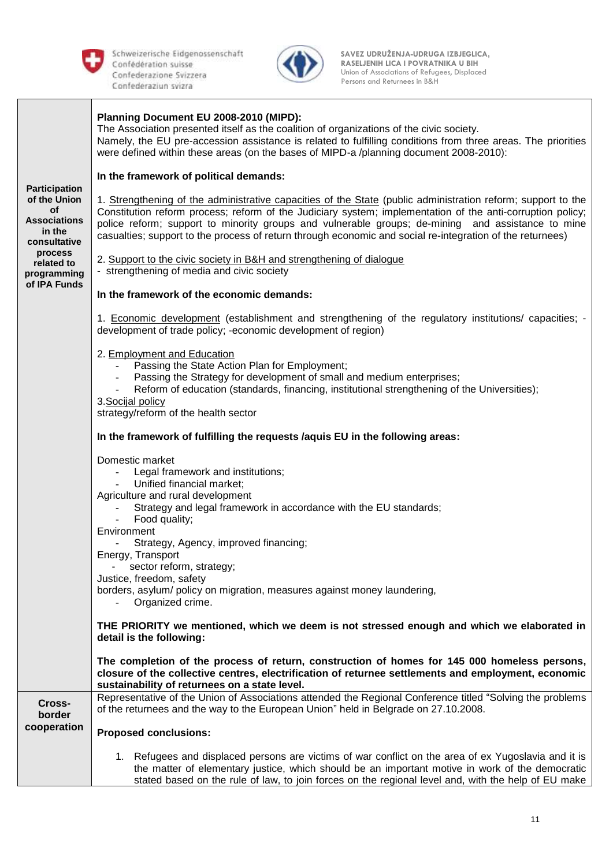

Schweizerische Eidgenossenschaft Persons and Returnees in B&H



 **SAVEZ UDRUŽENJA-UDRUGA IZBJEGLICA, RASELJENIH LICA I POVRATNIKA U BIH RASELJENIH LICA I POVRATNIKA U BIH Confederazione Svizzera 1989** Confederazione Svizzera **1989** Confederazione Svizzera **1989** Confederazione Svizzera **1989** 

| <b>Participation</b><br>of the Union<br><b>of</b><br><b>Associations</b><br>in the<br>consultative<br>process<br>related to<br>programming<br>of IPA Funds | Planning Document EU 2008-2010 (MIPD):<br>The Association presented itself as the coalition of organizations of the civic society.<br>Namely, the EU pre-accession assistance is related to fulfilling conditions from three areas. The priorities<br>were defined within these areas (on the bases of MIPD-a /planning document 2008-2010):<br>In the framework of political demands:<br>1. Strengthening of the administrative capacities of the State (public administration reform; support to the<br>Constitution reform process; reform of the Judiciary system; implementation of the anti-corruption policy;<br>police reform; support to minority groups and vulnerable groups; de-mining and assistance to mine<br>casualties; support to the process of return through economic and social re-integration of the returnees)<br>2. Support to the civic society in B&H and strengthening of dialogue<br>- strengthening of media and civic society<br>In the framework of the economic demands:<br>1. Economic development (establishment and strengthening of the regulatory institutions/ capacities; -<br>development of trade policy; -economic development of region)<br>2. Employment and Education<br>Passing the State Action Plan for Employment;<br>Passing the Strategy for development of small and medium enterprises;<br>Reform of education (standards, financing, institutional strengthening of the Universities);<br>3. Socijal policy<br>strategy/reform of the health sector<br>In the framework of fulfilling the requests /aquis EU in the following areas:<br>Domestic market<br>Legal framework and institutions;<br>Unified financial market;<br>Agriculture and rural development<br>Strategy and legal framework in accordance with the EU standards;<br>Food quality;<br>Environment<br>Strategy, Agency, improved financing;<br>Energy, Transport<br>sector reform, strategy;<br>Justice, freedom, safety<br>borders, asylum/ policy on migration, measures against money laundering,<br>Organized crime.<br>THE PRIORITY we mentioned, which we deem is not stressed enough and which we elaborated in<br>detail is the following:<br>The completion of the process of return, construction of homes for 145 000 homeless persons, |  |
|------------------------------------------------------------------------------------------------------------------------------------------------------------|----------------------------------------------------------------------------------------------------------------------------------------------------------------------------------------------------------------------------------------------------------------------------------------------------------------------------------------------------------------------------------------------------------------------------------------------------------------------------------------------------------------------------------------------------------------------------------------------------------------------------------------------------------------------------------------------------------------------------------------------------------------------------------------------------------------------------------------------------------------------------------------------------------------------------------------------------------------------------------------------------------------------------------------------------------------------------------------------------------------------------------------------------------------------------------------------------------------------------------------------------------------------------------------------------------------------------------------------------------------------------------------------------------------------------------------------------------------------------------------------------------------------------------------------------------------------------------------------------------------------------------------------------------------------------------------------------------------------------------------------------------------------------------------------------------------------------------------------------------------------------------------------------------------------------------------------------------------------------------------------------------------------------------------------------------------------------------------------------------------------------------------------------------------------------------------------------------------------------------------------------------------------------|--|
|                                                                                                                                                            | closure of the collective centres, electrification of returnee settlements and employment, economic<br>sustainability of returnees on a state level.                                                                                                                                                                                                                                                                                                                                                                                                                                                                                                                                                                                                                                                                                                                                                                                                                                                                                                                                                                                                                                                                                                                                                                                                                                                                                                                                                                                                                                                                                                                                                                                                                                                                                                                                                                                                                                                                                                                                                                                                                                                                                                                       |  |
| Cross-<br>border<br>cooperation                                                                                                                            | Representative of the Union of Associations attended the Regional Conference titled "Solving the problems<br>of the returnees and the way to the European Union" held in Belgrade on 27.10.2008.                                                                                                                                                                                                                                                                                                                                                                                                                                                                                                                                                                                                                                                                                                                                                                                                                                                                                                                                                                                                                                                                                                                                                                                                                                                                                                                                                                                                                                                                                                                                                                                                                                                                                                                                                                                                                                                                                                                                                                                                                                                                           |  |
|                                                                                                                                                            | <b>Proposed conclusions:</b>                                                                                                                                                                                                                                                                                                                                                                                                                                                                                                                                                                                                                                                                                                                                                                                                                                                                                                                                                                                                                                                                                                                                                                                                                                                                                                                                                                                                                                                                                                                                                                                                                                                                                                                                                                                                                                                                                                                                                                                                                                                                                                                                                                                                                                               |  |
|                                                                                                                                                            | 1. Refugees and displaced persons are victims of war conflict on the area of ex Yugoslavia and it is<br>the matter of elementary justice, which should be an important motive in work of the democratic<br>stated based on the rule of law, to join forces on the regional level and, with the help of EU make                                                                                                                                                                                                                                                                                                                                                                                                                                                                                                                                                                                                                                                                                                                                                                                                                                                                                                                                                                                                                                                                                                                                                                                                                                                                                                                                                                                                                                                                                                                                                                                                                                                                                                                                                                                                                                                                                                                                                             |  |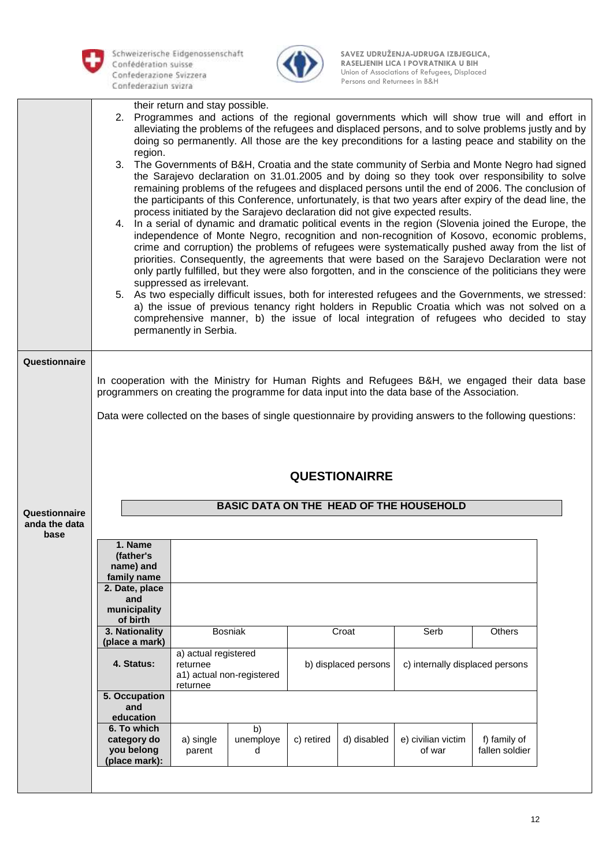



|                       | region.                           | their return and stay possible.<br>2. Programmes and actions of the regional governments which will show true will and effort in<br>alleviating the problems of the refugees and displaced persons, and to solve problems justly and by<br>doing so permanently. All those are the key preconditions for a lasting peace and stability on the<br>3. The Governments of B&H, Croatia and the state community of Serbia and Monte Negro had signed<br>the Sarajevo declaration on 31.01.2005 and by doing so they took over responsibility to solve<br>remaining problems of the refugees and displaced persons until the end of 2006. The conclusion of<br>the participants of this Conference, unfortunately, is that two years after expiry of the dead line, the<br>process initiated by the Sarajevo declaration did not give expected results.<br>4. In a serial of dynamic and dramatic political events in the region (Slovenia joined the Europe, the<br>independence of Monte Negro, recognition and non-recognition of Kosovo, economic problems,<br>crime and corruption) the problems of refugees were systematically pushed away from the list of<br>priorities. Consequently, the agreements that were based on the Sarajevo Declaration were not<br>only partly fulfilled, but they were also forgotten, and in the conscience of the politicians they were<br>suppressed as irrelevant.<br>5. As two especially difficult issues, both for interested refugees and the Governments, we stressed:<br>a) the issue of previous tenancy right holders in Republic Croatia which was not solved on a<br>comprehensive manner, b) the issue of local integration of refugees who decided to stay<br>permanently in Serbia. |                 |            |             |                                                                                                           |                |  |
|-----------------------|-----------------------------------|--------------------------------------------------------------------------------------------------------------------------------------------------------------------------------------------------------------------------------------------------------------------------------------------------------------------------------------------------------------------------------------------------------------------------------------------------------------------------------------------------------------------------------------------------------------------------------------------------------------------------------------------------------------------------------------------------------------------------------------------------------------------------------------------------------------------------------------------------------------------------------------------------------------------------------------------------------------------------------------------------------------------------------------------------------------------------------------------------------------------------------------------------------------------------------------------------------------------------------------------------------------------------------------------------------------------------------------------------------------------------------------------------------------------------------------------------------------------------------------------------------------------------------------------------------------------------------------------------------------------------------------------------------------------------------------------------------------------------------------|-----------------|------------|-------------|-----------------------------------------------------------------------------------------------------------|----------------|--|
| Questionnaire         |                                   |                                                                                                                                                                                                                                                                                                                                                                                                                                                                                                                                                                                                                                                                                                                                                                                                                                                                                                                                                                                                                                                                                                                                                                                                                                                                                                                                                                                                                                                                                                                                                                                                                                                                                                                                      |                 |            |             |                                                                                                           |                |  |
|                       |                                   |                                                                                                                                                                                                                                                                                                                                                                                                                                                                                                                                                                                                                                                                                                                                                                                                                                                                                                                                                                                                                                                                                                                                                                                                                                                                                                                                                                                                                                                                                                                                                                                                                                                                                                                                      |                 |            |             | In cooperation with the Ministry for Human Rights and Refugees B&H, we engaged their data base            |                |  |
|                       |                                   |                                                                                                                                                                                                                                                                                                                                                                                                                                                                                                                                                                                                                                                                                                                                                                                                                                                                                                                                                                                                                                                                                                                                                                                                                                                                                                                                                                                                                                                                                                                                                                                                                                                                                                                                      |                 |            |             | programmers on creating the programme for data input into the data base of the Association.               |                |  |
|                       |                                   |                                                                                                                                                                                                                                                                                                                                                                                                                                                                                                                                                                                                                                                                                                                                                                                                                                                                                                                                                                                                                                                                                                                                                                                                                                                                                                                                                                                                                                                                                                                                                                                                                                                                                                                                      |                 |            |             | Data were collected on the bases of single questionnaire by providing answers to the following questions: |                |  |
|                       |                                   |                                                                                                                                                                                                                                                                                                                                                                                                                                                                                                                                                                                                                                                                                                                                                                                                                                                                                                                                                                                                                                                                                                                                                                                                                                                                                                                                                                                                                                                                                                                                                                                                                                                                                                                                      |                 |            |             |                                                                                                           |                |  |
|                       | <b>QUESTIONAIRRE</b>              |                                                                                                                                                                                                                                                                                                                                                                                                                                                                                                                                                                                                                                                                                                                                                                                                                                                                                                                                                                                                                                                                                                                                                                                                                                                                                                                                                                                                                                                                                                                                                                                                                                                                                                                                      |                 |            |             |                                                                                                           |                |  |
| Questionnaire         |                                   |                                                                                                                                                                                                                                                                                                                                                                                                                                                                                                                                                                                                                                                                                                                                                                                                                                                                                                                                                                                                                                                                                                                                                                                                                                                                                                                                                                                                                                                                                                                                                                                                                                                                                                                                      |                 |            |             | BASIC DATA ON THE HEAD OF THE HOUSEHOLD                                                                   |                |  |
| anda the data<br>base |                                   |                                                                                                                                                                                                                                                                                                                                                                                                                                                                                                                                                                                                                                                                                                                                                                                                                                                                                                                                                                                                                                                                                                                                                                                                                                                                                                                                                                                                                                                                                                                                                                                                                                                                                                                                      |                 |            |             |                                                                                                           |                |  |
|                       | 1. Name<br>(father's<br>name) and |                                                                                                                                                                                                                                                                                                                                                                                                                                                                                                                                                                                                                                                                                                                                                                                                                                                                                                                                                                                                                                                                                                                                                                                                                                                                                                                                                                                                                                                                                                                                                                                                                                                                                                                                      |                 |            |             |                                                                                                           |                |  |
|                       | family name<br>2. Date, place     |                                                                                                                                                                                                                                                                                                                                                                                                                                                                                                                                                                                                                                                                                                                                                                                                                                                                                                                                                                                                                                                                                                                                                                                                                                                                                                                                                                                                                                                                                                                                                                                                                                                                                                                                      |                 |            |             |                                                                                                           |                |  |
|                       | and<br>municipality               |                                                                                                                                                                                                                                                                                                                                                                                                                                                                                                                                                                                                                                                                                                                                                                                                                                                                                                                                                                                                                                                                                                                                                                                                                                                                                                                                                                                                                                                                                                                                                                                                                                                                                                                                      |                 |            |             |                                                                                                           |                |  |
|                       | of birth                          |                                                                                                                                                                                                                                                                                                                                                                                                                                                                                                                                                                                                                                                                                                                                                                                                                                                                                                                                                                                                                                                                                                                                                                                                                                                                                                                                                                                                                                                                                                                                                                                                                                                                                                                                      |                 |            |             |                                                                                                           |                |  |
|                       | 3. Nationality<br>(place a mark)  |                                                                                                                                                                                                                                                                                                                                                                                                                                                                                                                                                                                                                                                                                                                                                                                                                                                                                                                                                                                                                                                                                                                                                                                                                                                                                                                                                                                                                                                                                                                                                                                                                                                                                                                                      | <b>Bosniak</b>  |            | Croat       | Serb                                                                                                      | Others         |  |
|                       | 4. Status:                        | a) actual registered<br>c) internally displaced persons<br>returnee<br>b) displaced persons<br>a1) actual non-registered<br>returnee                                                                                                                                                                                                                                                                                                                                                                                                                                                                                                                                                                                                                                                                                                                                                                                                                                                                                                                                                                                                                                                                                                                                                                                                                                                                                                                                                                                                                                                                                                                                                                                                 |                 |            |             |                                                                                                           |                |  |
|                       | 5. Occupation<br>and<br>education |                                                                                                                                                                                                                                                                                                                                                                                                                                                                                                                                                                                                                                                                                                                                                                                                                                                                                                                                                                                                                                                                                                                                                                                                                                                                                                                                                                                                                                                                                                                                                                                                                                                                                                                                      |                 |            |             |                                                                                                           |                |  |
|                       | 6. To which<br>category do        | a) single                                                                                                                                                                                                                                                                                                                                                                                                                                                                                                                                                                                                                                                                                                                                                                                                                                                                                                                                                                                                                                                                                                                                                                                                                                                                                                                                                                                                                                                                                                                                                                                                                                                                                                                            | b)<br>unemploye | c) retired | d) disabled | e) civilian victim                                                                                        | f) family of   |  |
|                       | you belong<br>(place mark):       | parent                                                                                                                                                                                                                                                                                                                                                                                                                                                                                                                                                                                                                                                                                                                                                                                                                                                                                                                                                                                                                                                                                                                                                                                                                                                                                                                                                                                                                                                                                                                                                                                                                                                                                                                               | d               |            |             | of war                                                                                                    | fallen soldier |  |
|                       |                                   |                                                                                                                                                                                                                                                                                                                                                                                                                                                                                                                                                                                                                                                                                                                                                                                                                                                                                                                                                                                                                                                                                                                                                                                                                                                                                                                                                                                                                                                                                                                                                                                                                                                                                                                                      |                 |            |             |                                                                                                           |                |  |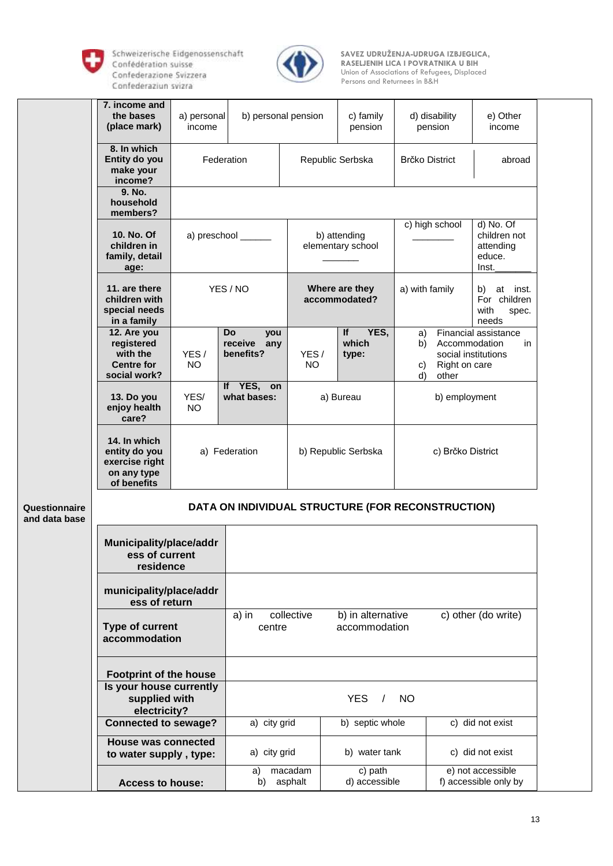

Schweizerische Eidgenossenschaft Persons and Returnees in B&H



 **SAVEZ UDRUŽENJA-UDRUGA IZBJEGLICA, RASELJENIH LICA I POVRATNIKA U BIH RASELJENIH LICA I POVRATNIKA U BIH Confederazione Svizzera 1989** Confederazione Svizzera **1989** Confederazione Svizzera **1989** Confederazione Svizzera **1989** 

|                                | 7. income and<br>the bases<br>(place mark)                                    | a) personal<br>income   | b) personal pension                                                                        |                                   | c) family<br>pension            | d) disability<br>pension                       | e) Other<br>income                                                  |  |  |
|--------------------------------|-------------------------------------------------------------------------------|-------------------------|--------------------------------------------------------------------------------------------|-----------------------------------|---------------------------------|------------------------------------------------|---------------------------------------------------------------------|--|--|
|                                | 8. In which<br>Entity do you<br>make your<br>income?                          | Federation              |                                                                                            |                                   | Republic Serbska                | Brčko District                                 | abroad                                                              |  |  |
|                                | 9. No.<br>household<br>members?                                               |                         |                                                                                            |                                   |                                 |                                                |                                                                     |  |  |
|                                | 10. No. Of<br>children in<br>family, detail<br>age:                           | a) preschool ______     |                                                                                            | b) attending<br>elementary school |                                 | c) high school                                 | d) No. Of<br>children not<br>attending<br>educe.<br>Inst.           |  |  |
|                                | 11. are there<br>children with<br>special needs<br>in a family                |                         | YES / NO                                                                                   |                                   | Where are they<br>accommodated? | a) with family                                 | at<br>inst.<br>b)<br>For children<br>with<br>spec.<br>needs         |  |  |
|                                | 12. Are you<br>registered<br>with the<br><b>Centre for</b><br>social work?    | YES/<br><b>NO</b>       | <b>Do</b><br>you<br>receive<br>any<br>benefits?                                            | YES/<br><b>NO</b>                 | If<br>YES,<br>which<br>type:    | a)<br>b)<br>Right on care<br>C)<br>d)<br>other | Financial assistance<br>Accommodation<br>in.<br>social institutions |  |  |
|                                | 13. Do you<br>enjoy health<br>care?                                           | YES/<br><b>NO</b>       | If YES,<br>on<br>what bases:                                                               |                                   | a) Bureau                       | b) employment                                  |                                                                     |  |  |
|                                | 14. In which<br>entity do you<br>exercise right<br>on any type<br>of benefits |                         | a) Federation                                                                              |                                   | b) Republic Serbska             | c) Brčko District                              |                                                                     |  |  |
| Questionnaire<br>and data base | DATA ON INDIVIDUAL STRUCTURE (FOR RECONSTRUCTION)                             |                         |                                                                                            |                                   |                                 |                                                |                                                                     |  |  |
|                                | Municipality/place/addr<br>ess of current<br>residence                        |                         |                                                                                            |                                   |                                 |                                                |                                                                     |  |  |
|                                | municipality/place/addr<br>ess of return                                      |                         |                                                                                            |                                   |                                 |                                                |                                                                     |  |  |
|                                | Type of current<br>accommodation                                              |                         | collective<br>b) in alternative<br>c) other (do write)<br>a) in<br>accommodation<br>centre |                                   |                                 |                                                |                                                                     |  |  |
|                                | <b>Footprint of the house</b>                                                 |                         |                                                                                            |                                   |                                 |                                                |                                                                     |  |  |
|                                | Is your house currently<br>supplied with<br>electricity?                      |                         | <b>YES</b><br><b>NO</b><br>$\prime$                                                        |                                   |                                 |                                                |                                                                     |  |  |
|                                | <b>Connected to sewage?</b>                                                   |                         | a) city grid                                                                               |                                   | b) septic whole                 |                                                | c) did not exist                                                    |  |  |
|                                | <b>House was connected</b><br>to water supply, type:                          |                         | a) city grid                                                                               |                                   | b) water tank                   |                                                | c) did not exist                                                    |  |  |
|                                |                                                                               | <b>Access to house:</b> |                                                                                            | macadam<br>asphalt                | c) path<br>d) accessible        |                                                | e) not accessible<br>f) accessible only by                          |  |  |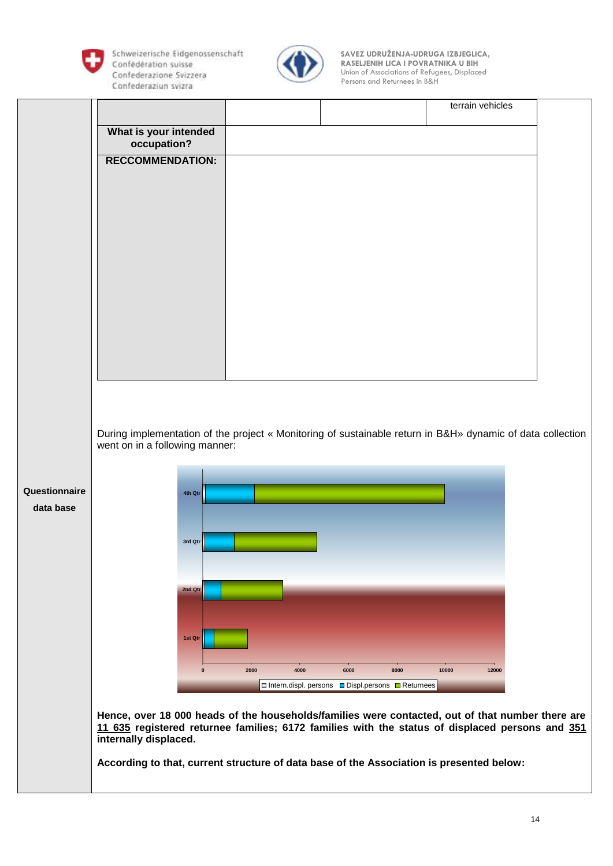

Schweizerische Eidgenossenschaft Persons and Returnees in B&H



 **SAVEZ UDRUŽENJA-UDRUGA IZBJEGLICA, RASELJENIH LICA I POVRATNIKA U BIH RASELJENIH LICA I POVRATNIKA U BIH Confederazione Svizzera 1989** Confederazione Svizzera **1989** Confederazione Svizzera **1989** Confederazione Svizzera **1989** 

|               |                                                                                                                                                                                                                              |              |                                                                             | terrain vehicles |  |
|---------------|------------------------------------------------------------------------------------------------------------------------------------------------------------------------------------------------------------------------------|--------------|-----------------------------------------------------------------------------|------------------|--|
|               | What is your intended<br>occupation?                                                                                                                                                                                         |              |                                                                             |                  |  |
|               | <b>RECCOMMENDATION:</b>                                                                                                                                                                                                      |              |                                                                             |                  |  |
|               |                                                                                                                                                                                                                              |              |                                                                             |                  |  |
|               |                                                                                                                                                                                                                              |              |                                                                             |                  |  |
|               |                                                                                                                                                                                                                              |              |                                                                             |                  |  |
|               |                                                                                                                                                                                                                              |              |                                                                             |                  |  |
|               |                                                                                                                                                                                                                              |              |                                                                             |                  |  |
|               |                                                                                                                                                                                                                              |              |                                                                             |                  |  |
|               |                                                                                                                                                                                                                              |              |                                                                             |                  |  |
|               |                                                                                                                                                                                                                              |              |                                                                             |                  |  |
|               |                                                                                                                                                                                                                              |              |                                                                             |                  |  |
|               | During implementation of the project « Monitoring of sustainable return in B&H» dynamic of data collection                                                                                                                   |              |                                                                             |                  |  |
|               | went on in a following manner:                                                                                                                                                                                               |              |                                                                             |                  |  |
| Questionnaire | 4th Qtr                                                                                                                                                                                                                      |              |                                                                             |                  |  |
| data base     |                                                                                                                                                                                                                              |              |                                                                             |                  |  |
|               | 3rd Qtr                                                                                                                                                                                                                      |              |                                                                             |                  |  |
|               |                                                                                                                                                                                                                              |              |                                                                             |                  |  |
|               | 2nd Qtr                                                                                                                                                                                                                      |              |                                                                             |                  |  |
|               |                                                                                                                                                                                                                              |              |                                                                             |                  |  |
|               | 1st Qtr                                                                                                                                                                                                                      |              |                                                                             |                  |  |
|               | $\Omega$                                                                                                                                                                                                                     | 4000<br>2000 | 6000<br>8000                                                                | 10000<br>12000   |  |
|               |                                                                                                                                                                                                                              |              | $\square$ Intern.displ. persons $\square$ Displ.persons $\square$ Returnees |                  |  |
|               | Hence, over 18 000 heads of the households/families were contacted, out of that number there are<br>11 635 registered returnee families; 6172 families with the status of displaced persons and 351<br>internally displaced. |              |                                                                             |                  |  |
|               | According to that, current structure of data base of the Association is presented below:                                                                                                                                     |              |                                                                             |                  |  |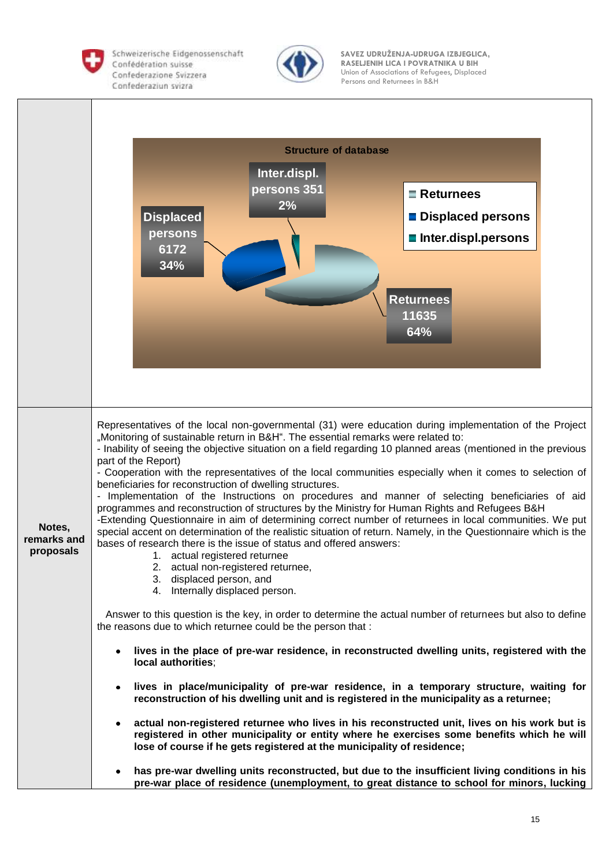

Schweizerische Eidgenossenschaft Persons and Returnees in B&H



 **SAVEZ UDRUŽENJA-UDRUGA IZBJEGLICA, RASELJENIH LICA I POVRATNIKA U BIH RASELJENIH LICA I POVRATNIKA U BIH** Confederazione Svizzera **by Confederazione Svizzera** Union of Associations of Refugees, Displaced

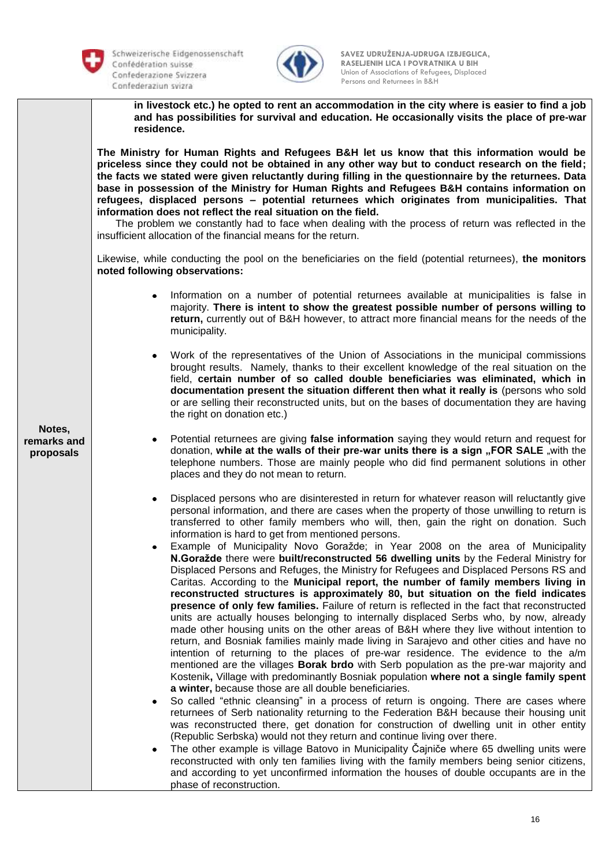

Schweizerische Eidgenossenschaft **Confederaziun svizra** Persons and Returnees in B&H



 **SAVEZ UDRUŽENJA-UDRUGA IZBJEGLICA, RASELJENIH LICA I POVRATNIKA U BIH RASELJENIH LICA I POVRATNIKA U BIH** Confederazione Svizzera **by Confederazione Svizzera** Union of Associations of Refugees, Displaced

**in livestock etc.) he opted to rent an accommodation in the city where is easier to find a job and has possibilities for survival and education. He occasionally visits the place of pre-war residence.** 

**The Ministry for Human Rights and Refugees B&H let us know that this information would be priceless since they could not be obtained in any other way but to conduct research on the field; the facts we stated were given reluctantly during filling in the questionnaire by the returnees. Data base in possession of the Ministry for Human Rights and Refugees B&H contains information on refugees, displaced persons – potential returnees which originates from municipalities. That information does not reflect the real situation on the field.** 

The problem we constantly had to face when dealing with the process of return was reflected in the insufficient allocation of the financial means for the return.

Likewise, while conducting the pool on the beneficiaries on the field (potential returnees), **the monitors noted following observations:**

- Information on a number of potential returnees available at municipalities is false in majority. **There is intent to show the greatest possible number of persons willing to return,** currently out of B&H however, to attract more financial means for the needs of the municipality.
- Work of the representatives of the Union of Associations in the municipal commissions brought results. Namely, thanks to their excellent knowledge of the real situation on the field, **certain number of so called double beneficiaries was eliminated, which in documentation present the situation different then what it really is** (persons who sold or are selling their reconstructed units, but on the bases of documentation they are having the right on donation etc.)
- Potential returnees are giving **false information** saying they would return and request for donation, while at the walls of their pre-war units there is a sign "FOR SALE "with the telephone numbers. Those are mainly people who did find permanent solutions in other places and they do not mean to return.
- Displaced persons who are disinterested in return for whatever reason will reluctantly give personal information, and there are cases when the property of those unwilling to return is transferred to other family members who will, then, gain the right on donation. Such information is hard to get from mentioned persons.
- Example of Municipality Novo Goražde; in Year 2008 on the area of Municipality **N.Goražde** there were **built/reconstructed 56 dwelling units** by the Federal Ministry for Displaced Persons and Refuges, the Ministry for Refugees and Displaced Persons RS and Caritas. According to the **Municipal report, the number of family members living in reconstructed structures is approximately 80, but situation on the field indicates presence of only few families.** Failure of return is reflected in the fact that reconstructed units are actually houses belonging to internally displaced Serbs who, by now, already made other housing units on the other areas of B&H where they live without intention to return, and Bosniak families mainly made living in Sarajevo and other cities and have no intention of returning to the places of pre-war residence. The evidence to the a/m mentioned are the villages **Borak brdo** with Serb population as the pre-war majority and Kostenik**,** Village with predominantly Bosniak population **where not a single family spent a winter,** because those are all double beneficiaries.
- So called "ethnic cleansing" in a process of return is ongoing. There are cases where returnees of Serb nationality returning to the Federation B&H because their housing unit was reconstructed there, get donation for construction of dwelling unit in other entity (Republic Serbska) would not they return and continue living over there.
- The other example is village Batovo in Municipality Čajniče where 65 dwelling units were reconstructed with only ten families living with the family members being senior citizens, and according to yet unconfirmed information the houses of double occupants are in the phase of reconstruction.

**Notes, remarks and proposals**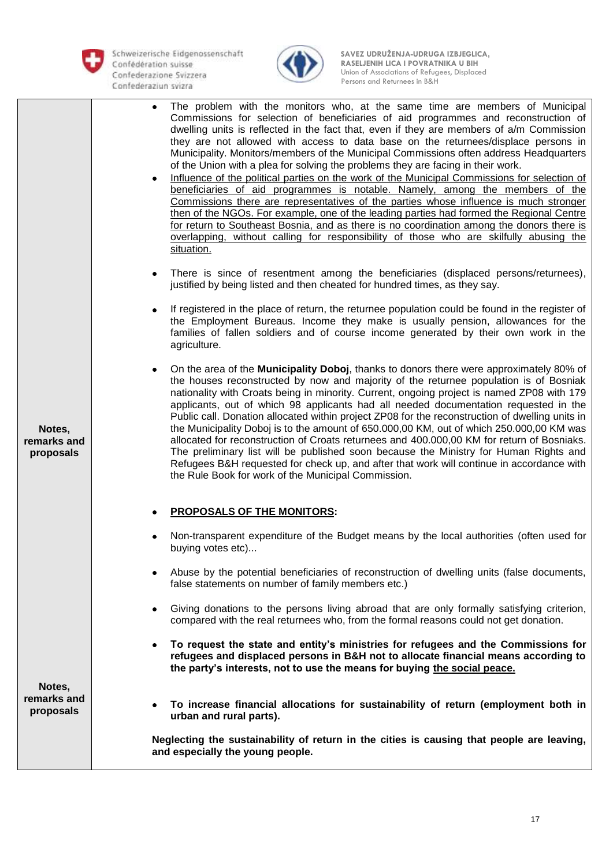



|                                    | The problem with the monitors who, at the same time are members of Municipal<br>Commissions for selection of beneficiaries of aid programmes and reconstruction of<br>dwelling units is reflected in the fact that, even if they are members of a/m Commission<br>they are not allowed with access to data base on the returnees/displace persons in<br>Municipality. Monitors/members of the Municipal Commissions often address Headquarters<br>of the Union with a plea for solving the problems they are facing in their work.<br>Influence of the political parties on the work of the Municipal Commissions for selection of<br>۰<br>beneficiaries of aid programmes is notable. Namely, among the members of the<br>Commissions there are representatives of the parties whose influence is much stronger<br>then of the NGOs. For example, one of the leading parties had formed the Regional Centre<br>for return to Southeast Bosnia, and as there is no coordination among the donors there is<br>overlapping, without calling for responsibility of those who are skilfully abusing the<br>situation. |
|------------------------------------|-------------------------------------------------------------------------------------------------------------------------------------------------------------------------------------------------------------------------------------------------------------------------------------------------------------------------------------------------------------------------------------------------------------------------------------------------------------------------------------------------------------------------------------------------------------------------------------------------------------------------------------------------------------------------------------------------------------------------------------------------------------------------------------------------------------------------------------------------------------------------------------------------------------------------------------------------------------------------------------------------------------------------------------------------------------------------------------------------------------------|
|                                    | There is since of resentment among the beneficiaries (displaced persons/returnees),<br>justified by being listed and then cheated for hundred times, as they say.                                                                                                                                                                                                                                                                                                                                                                                                                                                                                                                                                                                                                                                                                                                                                                                                                                                                                                                                                 |
|                                    | If registered in the place of return, the returnee population could be found in the register of<br>the Employment Bureaus. Income they make is usually pension, allowances for the<br>families of fallen soldiers and of course income generated by their own work in the<br>agriculture.                                                                                                                                                                                                                                                                                                                                                                                                                                                                                                                                                                                                                                                                                                                                                                                                                         |
| Notes,<br>remarks and<br>proposals | On the area of the Municipality Doboj, thanks to donors there were approximately 80% of<br>the houses reconstructed by now and majority of the returnee population is of Bosniak<br>nationality with Croats being in minority. Current, ongoing project is named ZP08 with 179<br>applicants, out of which 98 applicants had all needed documentation requested in the<br>Public call. Donation allocated within project ZP08 for the reconstruction of dwelling units in<br>the Municipality Doboj is to the amount of 650.000,00 KM, out of which 250.000,00 KM was<br>allocated for reconstruction of Croats returnees and 400.000,00 KM for return of Bosniaks.<br>The preliminary list will be published soon because the Ministry for Human Rights and<br>Refugees B&H requested for check up, and after that work will continue in accordance with<br>the Rule Book for work of the Municipal Commission.                                                                                                                                                                                                  |
|                                    | <b>PROPOSALS OF THE MONITORS:</b>                                                                                                                                                                                                                                                                                                                                                                                                                                                                                                                                                                                                                                                                                                                                                                                                                                                                                                                                                                                                                                                                                 |
|                                    | Non-transparent expenditure of the Budget means by the local authorities (often used for<br>buying votes etc)                                                                                                                                                                                                                                                                                                                                                                                                                                                                                                                                                                                                                                                                                                                                                                                                                                                                                                                                                                                                     |
|                                    | Abuse by the potential beneficiaries of reconstruction of dwelling units (false documents,<br>false statements on number of family members etc.)                                                                                                                                                                                                                                                                                                                                                                                                                                                                                                                                                                                                                                                                                                                                                                                                                                                                                                                                                                  |
|                                    | Giving donations to the persons living abroad that are only formally satisfying criterion,<br>compared with the real returnees who, from the formal reasons could not get donation.                                                                                                                                                                                                                                                                                                                                                                                                                                                                                                                                                                                                                                                                                                                                                                                                                                                                                                                               |
|                                    | To request the state and entity's ministries for refugees and the Commissions for<br>refugees and displaced persons in B&H not to allocate financial means according to<br>the party's interests, not to use the means for buying the social peace.                                                                                                                                                                                                                                                                                                                                                                                                                                                                                                                                                                                                                                                                                                                                                                                                                                                               |
| Notes,<br>remarks and<br>proposals | To increase financial allocations for sustainability of return (employment both in<br>urban and rural parts).                                                                                                                                                                                                                                                                                                                                                                                                                                                                                                                                                                                                                                                                                                                                                                                                                                                                                                                                                                                                     |
|                                    | Neglecting the sustainability of return in the cities is causing that people are leaving,<br>and especially the young people.                                                                                                                                                                                                                                                                                                                                                                                                                                                                                                                                                                                                                                                                                                                                                                                                                                                                                                                                                                                     |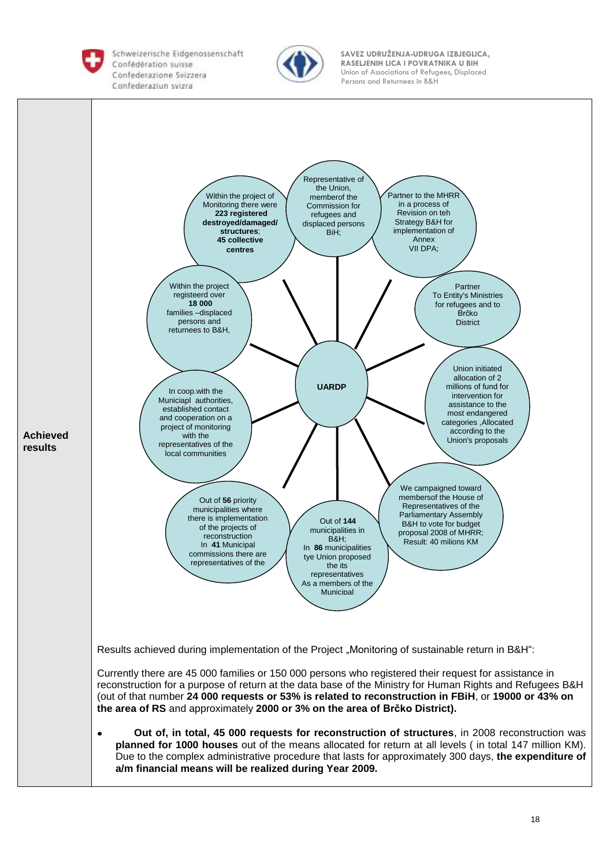

Schweizerische Eidgenossenschaft Persons and Returnees in B&H<br>Confederaziun svizra



 **SAVEZ UDRUŽENJA-UDRUGA IZBJEGLICA, RASELJENIH LICA I POVRATNIKA U BIH RASELJENIH LICA I POVRATNIKA U BIH Confederazione Svizzera 1989** Union of Associations of Refugees, Displaced

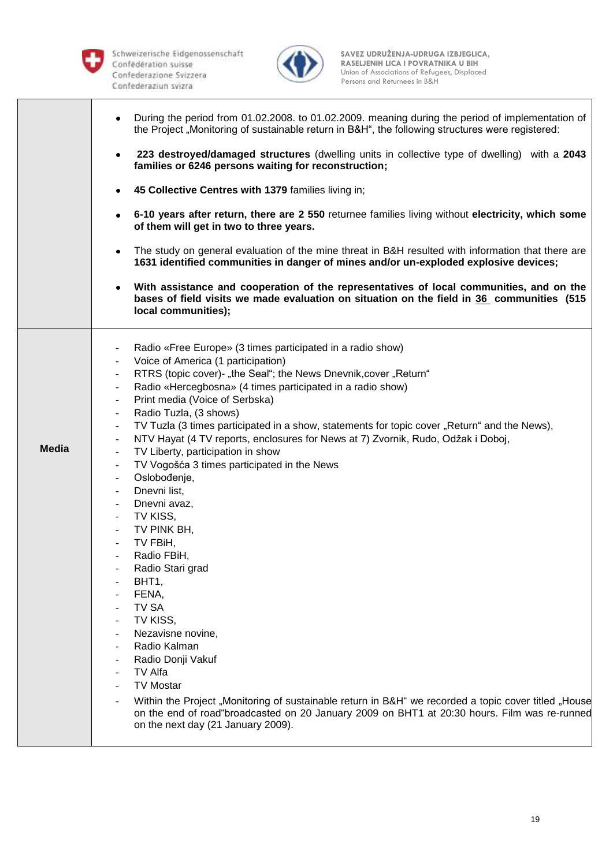



|              | During the period from 01.02.2008. to 01.02.2009. meaning during the period of implementation of<br>the Project "Monitoring of sustainable return in B&H", the following structures were registered:<br>223 destroyed/damaged structures (dwelling units in collective type of dwelling) with a 2043<br>$\bullet$<br>families or 6246 persons waiting for reconstruction;<br>45 Collective Centres with 1379 families living in;<br>6-10 years after return, there are 2 550 returnee families living without electricity, which some<br>of them will get in two to three years.<br>The study on general evaluation of the mine threat in B&H resulted with information that there are<br>1631 identified communities in danger of mines and/or un-exploded explosive devices;                                                                                                                                                                                                                                                                                                                                                                                                                                                                                                                                                                                                                                                                                                                       |
|--------------|------------------------------------------------------------------------------------------------------------------------------------------------------------------------------------------------------------------------------------------------------------------------------------------------------------------------------------------------------------------------------------------------------------------------------------------------------------------------------------------------------------------------------------------------------------------------------------------------------------------------------------------------------------------------------------------------------------------------------------------------------------------------------------------------------------------------------------------------------------------------------------------------------------------------------------------------------------------------------------------------------------------------------------------------------------------------------------------------------------------------------------------------------------------------------------------------------------------------------------------------------------------------------------------------------------------------------------------------------------------------------------------------------------------------------------------------------------------------------------------------------|
|              | With assistance and cooperation of the representatives of local communities, and on the<br>$\bullet$<br>bases of field visits we made evaluation on situation on the field in 36 communities (515<br>local communities);                                                                                                                                                                                                                                                                                                                                                                                                                                                                                                                                                                                                                                                                                                                                                                                                                                                                                                                                                                                                                                                                                                                                                                                                                                                                             |
| <b>Media</b> | Radio «Free Europe» (3 times participated in a radio show)<br>$\overline{\phantom{a}}$<br>Voice of America (1 participation)<br>$\overline{\phantom{a}}$<br>RTRS (topic cover)- "the Seal"; the News Dnevnik, cover "Return"<br>$\overline{\phantom{a}}$<br>Radio «Hercegbosna» (4 times participated in a radio show)<br>Print media (Voice of Serbska)<br>$\overline{\phantom{a}}$<br>Radio Tuzla, (3 shows)<br>$\overline{\phantom{a}}$<br>TV Tuzla (3 times participated in a show, statements for topic cover "Return" and the News),<br>$\overline{\phantom{a}}$<br>NTV Hayat (4 TV reports, enclosures for News at 7) Zvornik, Rudo, Odžak i Doboj,<br>$\overline{\phantom{a}}$<br>TV Liberty, participation in show<br>$\overline{\phantom{a}}$<br>TV Vogošća 3 times participated in the News<br>$\overline{\phantom{a}}$<br>Oslobođenje,<br>$\overline{\phantom{a}}$<br>Dnevni list,<br>$-$<br>Dnevni avaz,<br>$\overline{\phantom{a}}$<br>TV KISS,<br>$\overline{\phantom{a}}$<br>TV PINK BH,<br>TV FBiH,<br>$\overline{\phantom{a}}$<br>Radio FBiH,<br>Radio Stari grad<br>BHT1,<br>FENA,<br><b>TV SA</b><br>TV KISS,<br>Nezavisne novine,<br>Radio Kalman<br>Radio Donji Vakuf<br>TV Alfa<br>$\overline{\phantom{a}}$<br><b>TV Mostar</b><br>Within the Project "Monitoring of sustainable return in B&H" we recorded a topic cover titled "House<br>on the end of road"broadcasted on 20 January 2009 on BHT1 at 20:30 hours. Film was re-runned<br>on the next day (21 January 2009). |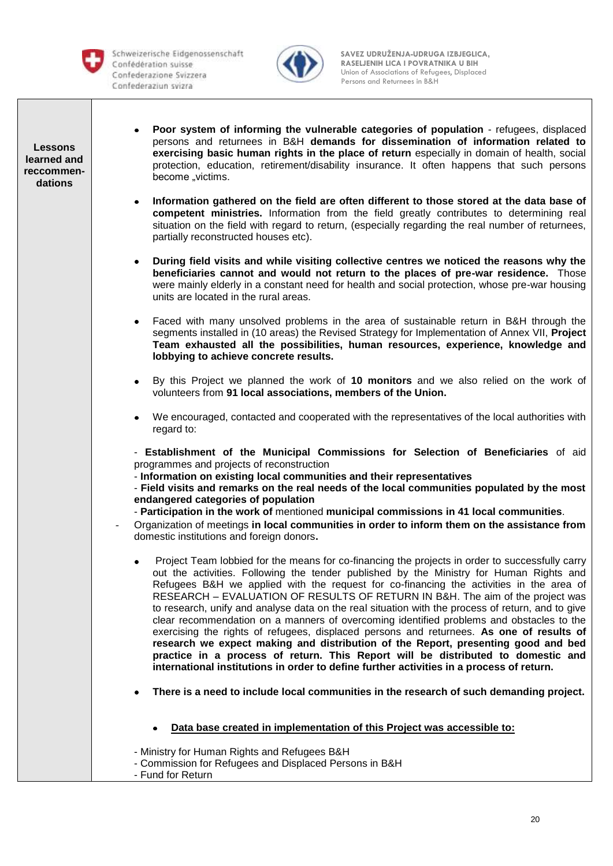Schweizerische Eidgenossenschaft Persons and Returnees in B&H



 **SAVEZ UDRUŽENJA-UDRUGA IZBJEGLICA, RASELJENIH LICA I POVRATNIKA U BIH RASELJENIH LICA I POVRATNIKA U BIH** Confederazione Svizzera **by Confederazione Svizzera** Union of Associations of Refugees, Displaced

**Lessons learned and reccommendations** 

- **Poor system of informing the vulnerable categories of population** refugees, displaced persons and returnees in B&H **demands for dissemination of information related to exercising basic human rights in the place of return** especially in domain of health, social protection, education, retirement/disability insurance. It often happens that such persons become ..victims.
- **Information gathered on the field are often different to those stored at the data base of competent ministries.** Information from the field greatly contributes to determining real situation on the field with regard to return, (especially regarding the real number of returnees, partially reconstructed houses etc).
- **During field visits and while visiting collective centres we noticed the reasons why the**   $\bullet$ **beneficiaries cannot and would not return to the places of pre-war residence.** Those were mainly elderly in a constant need for health and social protection, whose pre-war housing units are located in the rural areas.
- Faced with many unsolved problems in the area of sustainable return in B&H through the segments installed in (10 areas) the Revised Strategy for Implementation of Annex VII, **Project Team exhausted all the possibilities, human resources, experience, knowledge and lobbying to achieve concrete results.**
- By this Project we planned the work of **10 monitors** and we also relied on the work of volunteers from **91 local associations, members of the Union.**
- We encouraged, contacted and cooperated with the representatives of the local authorities with regard to:

- **Establishment of the Municipal Commissions for Selection of Beneficiaries** of aid programmes and projects of reconstruction

- **Information on existing local communities and their representatives**

- **Field visits and remarks on the real needs of the local communities populated by the most endangered categories of population**

- **Participation in the work of** mentioned **municipal commissions in 41 local communities**.
- Organization of meetings **in local communities in order to inform them on the assistance from**  domestic institutions and foreign donors**.**
	- Project Team lobbied for the means for co-financing the projects in order to successfully carry out the activities. Following the tender published by the Ministry for Human Rights and Refugees B&H we applied with the request for co-financing the activities in the area of RESEARCH – EVALUATION OF RESULTS OF RETURN IN B&H. The aim of the project was to research, unify and analyse data on the real situation with the process of return, and to give clear recommendation on a manners of overcoming identified problems and obstacles to the exercising the rights of refugees, displaced persons and returnees. **As one of results of research we expect making and distribution of the Report, presenting good and bed practice in a process of return. This Report will be distributed to domestic and international institutions in order to define further activities in a process of return.**
	- **There is a need to include local communities in the research of such demanding project.** 
		- **Data base created in implementation of this Project was accessible to:**

- Ministry for Human Rights and Refugees B&H

- Commission for Refugees and Displaced Persons in B&H
- Fund for Return